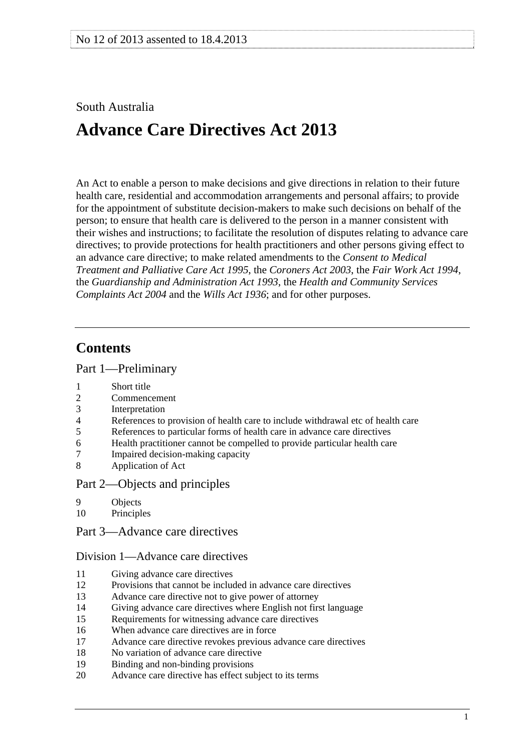# <span id="page-0-0"></span>South Australia

# **Advance Care Directives Act 2013**

An Act to enable a person to make decisions and give directions in relation to their future health care, residential and accommodation arrangements and personal affairs; to provide for the appointment of substitute decision-makers to make such decisions on behalf of the person; to ensure that health care is delivered to the person in a manner consistent with their wishes and instructions; to facilitate the resolution of disputes relating to advance care directives; to provide protections for health practitioners and other persons giving effect to an advance care directive; to make related amendments to the *[Consent to Medical](http://www.legislation.sa.gov.au/index.aspx?action=legref&type=act&legtitle=Consent%20to%20Medical%20Treatment%20and%20Palliative%20Care%20Act%201995)  [Treatment and Palliative Care Act 1995](http://www.legislation.sa.gov.au/index.aspx?action=legref&type=act&legtitle=Consent%20to%20Medical%20Treatment%20and%20Palliative%20Care%20Act%201995)*, the *[Coroners Act 2003](http://www.legislation.sa.gov.au/index.aspx?action=legref&type=act&legtitle=Coroners%20Act%202003)*, the *[Fair Work Act 1994](http://www.legislation.sa.gov.au/index.aspx?action=legref&type=act&legtitle=Fair%20Work%20Act%201994)*, the *[Guardianship and Administration Act 1993](http://www.legislation.sa.gov.au/index.aspx?action=legref&type=act&legtitle=Guardianship%20and%20Administration%20Act%201993)*, the *[Health and Community Services](http://www.legislation.sa.gov.au/index.aspx?action=legref&type=act&legtitle=Health%20and%20Community%20Services%20Complaints%20Act%202004)  [Complaints Act 2004](http://www.legislation.sa.gov.au/index.aspx?action=legref&type=act&legtitle=Health%20and%20Community%20Services%20Complaints%20Act%202004)* and the *[Wills Act 1936](http://www.legislation.sa.gov.au/index.aspx?action=legref&type=act&legtitle=Wills%20Act%201936)*; and for other purposes.

## **Contents**

#### [Part 1—Preliminary](#page-4-0)

- 1 Short title<br>2 Commenc
- **Commencement**
- [3 Interpretation](#page-4-0)
- [4 References to provision of health care to include withdrawal etc of health care](#page-5-0)
- [5 References to particular forms of health care in advance care directives](#page-5-0)
- [6 Health practitioner cannot be compelled to provide particular health care](#page-5-0)
- [7 Impaired decision-making capacity](#page-6-0)
- [8 Application of Act](#page-6-0)

#### [Part 2—Objects and principles](#page-7-0)

- [9 Objects](#page-7-0)
- [10 Principles](#page-7-0)
- [Part 3—Advance care directives](#page-8-0)

#### [Division 1—Advance care directives](#page-8-0)

- [11 Giving advance care directives](#page-8-0)
- [12 Provisions that cannot be included in advance care directives](#page-10-0)
- [13 Advance care directive not to give power of attorney](#page-10-0)
- [14 Giving advance care directives where English not first language](#page-11-0)
- [15 Requirements for witnessing advance care directives](#page-11-0)
- [16 When advance care directives are in force](#page-12-0)
- [17 Advance care directive revokes previous advance care directives](#page-12-0)
- [18 No variation of advance care directive](#page-13-0)
- [19 Binding and non-binding provisions](#page-13-0)
- [20 Advance care directive has effect subject to its terms](#page-13-0)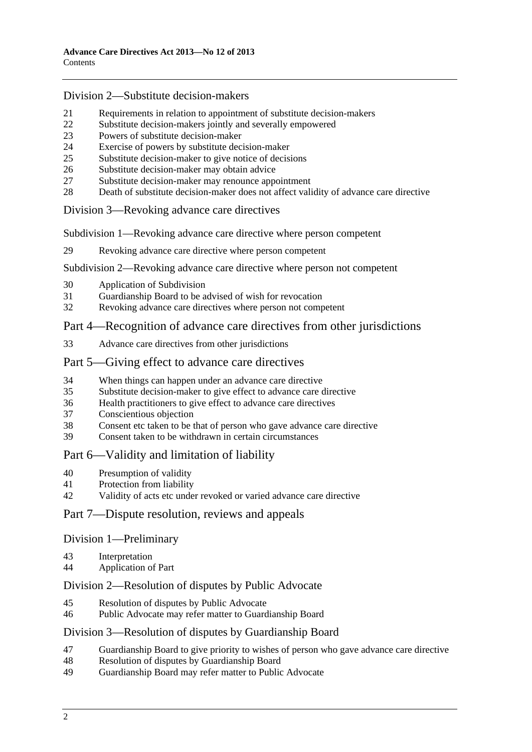#### [Division 2—Substitute decision-makers](#page-13-0)

- [21 Requirements in relation to appointment of substitute decision-makers](#page-13-0)
- [22 Substitute decision-makers jointly and severally empowered](#page-14-0)
- [23 Powers of substitute decision-maker](#page-14-0)
- [24 Exercise of powers by substitute decision-maker](#page-14-0)
- [25 Substitute decision-maker to give notice of decisions](#page-15-0)
- [26 Substitute decision-maker may obtain advice](#page-15-0)
- [27 Substitute decision-maker may renounce appointment](#page-15-0)
- [28 Death of substitute decision-maker does not affect validity of advance care directive](#page-15-0)

### [Division 3—Revoking advance care directives](#page-16-0)

[Subdivision 1—Revoking advance care directive where person competent](#page-16-0) 

[29 Revoking advance care directive where person competent](#page-16-0) 

#### [Subdivision 2—Revoking advance care directive where person not competent](#page-16-0)

- [30 Application of Subdivision](#page-16-0)
- [31 Guardianship Board to be advised of wish for revocation](#page-16-0)
- [32 Revoking advance care directives where person not competent](#page-17-0)

### [Part 4—Recognition of advance care directives from other jurisdictions](#page-18-0)

[33 Advance care directives from other jurisdictions](#page-18-0) 

### [Part 5—Giving effect to advance care directives](#page-18-0)

- [34 When things can happen under an advance care directive](#page-18-0)
- [35 Substitute decision-maker to give effect to advance care directive](#page-19-0)
- [36 Health practitioners to give effect to advance care directives](#page-19-0)
- [37 Conscientious objection](#page-20-0)
- [38 Consent etc taken to be that of person who gave advance care directive](#page-20-0)
- [39 Consent taken to be withdrawn in certain circumstances](#page-20-0)

### [Part 6—Validity and limitation of liability](#page-21-0)

- [40 Presumption of validity](#page-21-0)
- [41 Protection from liability](#page-21-0)
- [42 Validity of acts etc under revoked or varied advance care directive](#page-21-0)

### [Part 7—Dispute resolution, reviews and appeals](#page-21-0)

#### [Division 1—Preliminary](#page-21-0)

- [43 Interpretation](#page-21-0)
- [44 Application of Part](#page-22-0)

### [Division 2—Resolution of disputes by Public Advocate](#page-22-0)

- [45 Resolution of disputes by Public Advocate](#page-22-0)
- [46 Public Advocate may refer matter to Guardianship Board](#page-23-0)

#### [Division 3—Resolution of disputes by Guardianship Board](#page-24-0)

- [47 Guardianship Board to give priority to wishes of person who gave advance care directive](#page-24-0)
- [48 Resolution of disputes by Guardianship Board](#page-24-0)
- [49 Guardianship Board may refer matter to Public Advocate](#page-25-0)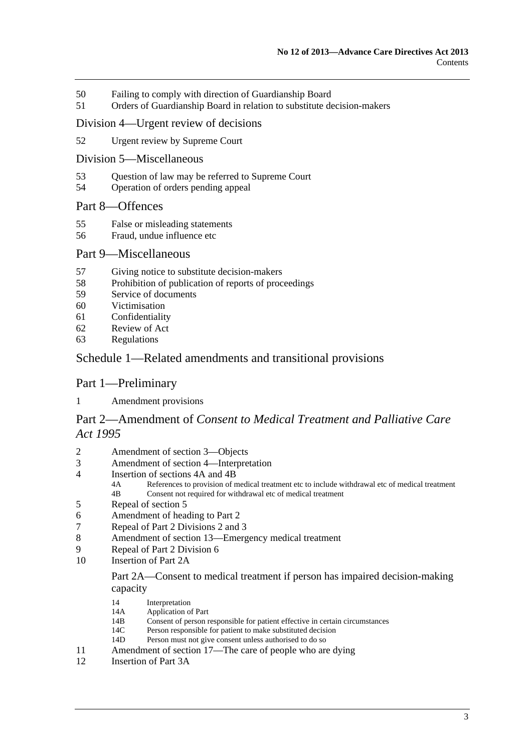- [50 Failing to comply with direction of Guardianship Board](#page-25-0)
- [51 Orders of Guardianship Board in relation to substitute decision-makers](#page-26-0)

#### [Division 4—Urgent review of decisions](#page-27-0)

- [52 Urgent review by Supreme Court](#page-27-0)
- [Division 5—Miscellaneous](#page-27-0)
- [53 Question of law may be referred to Supreme Court](#page-27-0)
- [54 Operation of orders pending appeal](#page-28-0)

### [Part 8—Offences](#page-28-0)

- [55 False or misleading statements](#page-28-0)
- [56 Fraud, undue influence etc](#page-28-0)

#### [Part 9—Miscellaneous](#page-29-0)

- [57 Giving notice to substitute decision-makers](#page-29-0)
- [58 Prohibition of publication of reports of proceedings](#page-29-0)
- [59 Service of documents](#page-29-0)
- [60 Victimisation](#page-30-0)
- [61 Confidentiality](#page-30-0)
- [62 Review of Act](#page-31-0)
- [63 Regulations](#page-31-0)

### [Schedule 1—Related amendments and transitional provisions](#page-32-0)

#### [Part 1—Preliminary](#page-0-0)

[1 Amendment provisions](#page-32-0) 

### Part 2—Amendment of *[Consent to Medical Treatment and Palliative Care](#page-0-0)  [Act 1995](#page-0-0)*

- [2 Amendment of section 3—Objects](#page-32-0)
- [3 Amendment of section 4—Interpretation](#page-32-0)
- [4 Insertion of sections 4A and 4B](#page-34-0)<br>4A References to provision of n
	- References to provision of medical treatment etc to include withdrawal etc of medical treatment [4B Consent not required for withdrawal etc of medical treatment](#page-0-0)
- [5 Repeal of section 5](#page-34-0)
- [6 Amendment of heading to Part 2](#page-34-0)
- [7 Repeal of Part 2 Divisions 2 and 3](#page-34-0)
- [8 Amendment of section 13—Emergency medical treatment](#page-34-0)
- [9 Repeal of Part 2 Division 6](#page-36-0)
- 10 Insertion of Part 2A

#### [Part 2A—Consent to medical treatment if person has impaired decision-making](#page-0-0)  [capacity](#page-0-0)

- [14 Interpretation](#page-0-0)<br>14A Application of
- 14A Application of Part<br>14B Consent of person r
- 14B Consent of person responsible for patient effective in certain circumstances<br>14C Person responsible for patient to make substituted decision
- Person responsible for patient to make substituted decision
- [14D Person must not give consent unless authorised to do so](#page-0-0)
- [11 Amendment of section 17—The care of people who are dying](#page-40-0)
- [12 Insertion of Part 3A](#page-40-0)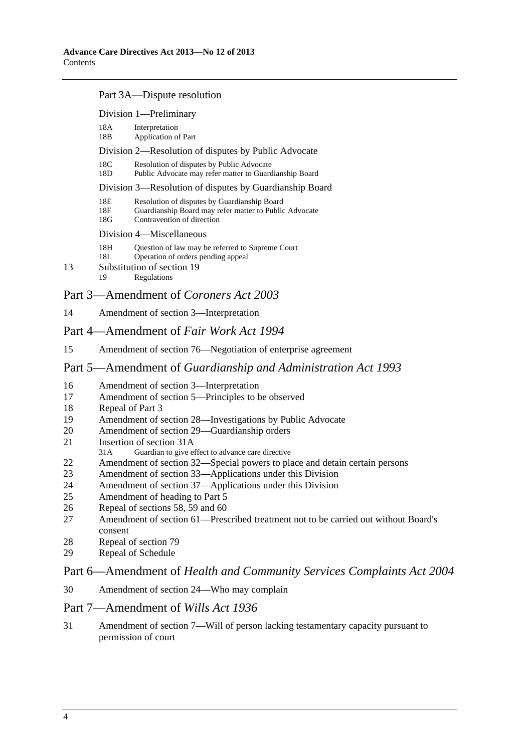#### [Part 3A—Dispute resolution](#page-0-0)

|    |                   | Division 1-Preliminary                                                                                                               |
|----|-------------------|--------------------------------------------------------------------------------------------------------------------------------------|
|    | 18A<br>18B        | Interpretation<br>Application of Part                                                                                                |
|    |                   | Division 2—Resolution of disputes by Public Advocate                                                                                 |
|    | 18C<br>18D        | Resolution of disputes by Public Advocate<br>Public Advocate may refer matter to Guardianship Board                                  |
|    |                   | Division 3—Resolution of disputes by Guardianship Board                                                                              |
|    | 18E<br>18F<br>18G | Resolution of disputes by Guardianship Board<br>Guardianship Board may refer matter to Public Advocate<br>Contravention of direction |
|    |                   | Division 4—Miscellaneous                                                                                                             |
|    | 18H<br>18I        | Question of law may be referred to Supreme Court<br>Operation of orders pending appeal                                               |
| 13 |                   | Substitution of section 19                                                                                                           |
|    | 19                | Regulations                                                                                                                          |

### [Part 3—Amendment of](#page-0-0) *Coroners Act 2003*

[14 Amendment of section 3—Interpretation](#page-46-0)

### [Part 4—Amendment of](#page-0-0) *Fair Work Act 1994*

[15 Amendment of section 76—Negotiation of enterprise agreement](#page-46-0)

### Part 5—Amendment of *[Guardianship and Administration Act 1993](#page-0-0)*

- [16 Amendment of section 3—Interpretation](#page-46-0)
- [17 Amendment of section 5—Principles to be observed](#page-48-0)
- [18 Repeal of Part 3](#page-48-0)
- [19 Amendment of section 28—Investigations by Public Advocate](#page-48-0)
- [20 Amendment of section 29—Guardianship orders](#page-48-0)
- [21 Insertion of section 31A](#page-48-0)<br>31A Guardian to give et
- Guardian to give effect to advance care directive
- [22 Amendment of section 32—Special powers to place and detain certain persons](#page-49-0)
- [23 Amendment of section 33—Applications under this Division](#page-50-0)
- [24 Amendment of section 37—Applications under this Division](#page-50-0)
- [25 Amendment of heading to Part 5](#page-50-0)
- [26 Repeal of sections 58, 59 and 60](#page-50-0)
- [27 Amendment of section 61—Prescribed treatment not to be carried out without Board's](#page-50-0)  [consent](#page-50-0)
- [28 Repeal of section 79](#page-50-0)
- [29 Repeal of Schedule](#page-50-0)

### Part 6—Amendment of *[Health and Community Services Complaints Act 2004](#page-0-0)*

[30 Amendment of section 24—Who may complain](#page-50-0)

#### [Part 7—Amendment of](#page-0-0) *Wills Act 1936*

[31 Amendment of section 7—Will of person lacking testamentary capacity pursuant to](#page-51-0)  [permission of court](#page-51-0)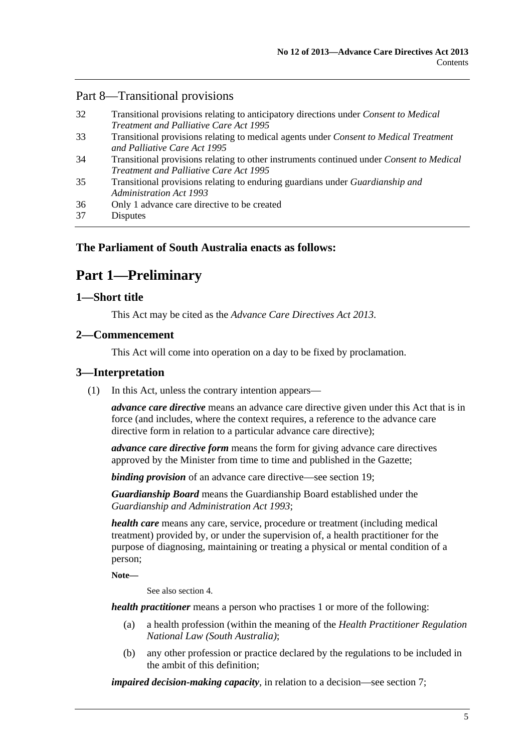### <span id="page-4-0"></span>[Part 8—Transitional provisions](#page-0-0)

| 32 | Transitional provisions relating to anticipatory directions under Consent to Medical                                         |
|----|------------------------------------------------------------------------------------------------------------------------------|
|    | Treatment and Palliative Care Act 1995                                                                                       |
| 33 | Transitional provisions relating to medical agents under <i>Consent to Medical Treatment</i><br>and Palliative Care Act 1995 |
| 34 | Transitional provisions relating to other instruments continued under Consent to Medical                                     |
|    | <i>Treatment and Palliative Care Act 1995</i>                                                                                |
| 35 | Transitional provisions relating to enduring guardians under <i>Guardianship and</i><br><b>Administration Act 1993</b>       |
| 36 | Only 1 advance care directive to be created                                                                                  |
| 37 | <b>Disputes</b>                                                                                                              |

### **The Parliament of South Australia enacts as follows:**

# **Part 1—Preliminary**

### **1—Short title**

This Act may be cited as the *Advance Care Directives Act 2013*.

### **2—Commencement**

This Act will come into operation on a day to be fixed by proclamation.

### **3—Interpretation**

(1) In this Act, unless the contrary intention appears—

*advance care directive* means an advance care directive given under this Act that is in force (and includes, where the context requires, a reference to the advance care directive form in relation to a particular advance care directive);

*advance care directive form* means the form for giving advance care directives approved by the Minister from time to time and published in the Gazette;

*binding provision* of an advance care directive—see [section 19](#page-13-0);

*Guardianship Board* means the Guardianship Board established under the *[Guardianship and Administration Act 1993](http://www.legislation.sa.gov.au/index.aspx?action=legref&type=act&legtitle=Guardianship%20and%20Administration%20Act%201993)*;

*health care* means any care, service, procedure or treatment (including medical treatment) provided by, or under the supervision of, a health practitioner for the purpose of diagnosing, maintaining or treating a physical or mental condition of a person;

**Note—** 

See also [section 4.](#page-5-0)

*health practitioner* means a person who practises 1 or more of the following:

- (a) a health profession (within the meaning of the *Health Practitioner Regulation National Law (South Australia)*;
- (b) any other profession or practice declared by the regulations to be included in the ambit of this definition;

*impaired decision-making capacity*, in relation to a decision—see [section 7](#page-6-0);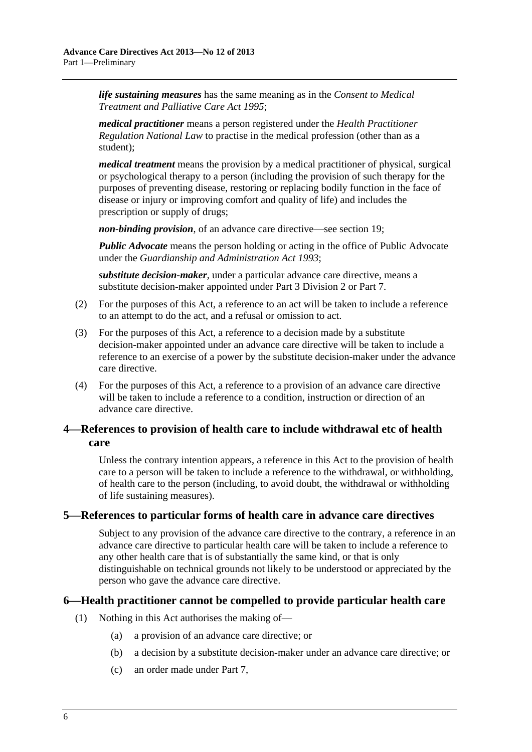<span id="page-5-0"></span>*life sustaining measures* has the same meaning as in the *[Consent to Medical](http://www.legislation.sa.gov.au/index.aspx?action=legref&type=act&legtitle=Consent%20to%20Medical%20Treatment%20and%20Palliative%20Care%20Act%201995)  [Treatment and Palliative Care Act 1995](http://www.legislation.sa.gov.au/index.aspx?action=legref&type=act&legtitle=Consent%20to%20Medical%20Treatment%20and%20Palliative%20Care%20Act%201995)*;

*medical practitioner* means a person registered under the *Health Practitioner Regulation National Law* to practise in the medical profession (other than as a student);

*medical treatment* means the provision by a medical practitioner of physical, surgical or psychological therapy to a person (including the provision of such therapy for the purposes of preventing disease, restoring or replacing bodily function in the face of disease or injury or improving comfort and quality of life) and includes the prescription or supply of drugs;

*non-binding provision*, of an advance care directive—see [section 19](#page-13-0);

*Public Advocate* means the person holding or acting in the office of Public Advocate under the *[Guardianship and Administration Act 1993](http://www.legislation.sa.gov.au/index.aspx?action=legref&type=act&legtitle=Guardianship%20and%20Administration%20Act%201993)*;

*substitute decision-maker*, under a particular advance care directive, means a substitute decision-maker appointed under [Part 3 Division 2](#page-13-0) or [Part 7](#page-21-0).

- (2) For the purposes of this Act, a reference to an act will be taken to include a reference to an attempt to do the act, and a refusal or omission to act.
- (3) For the purposes of this Act, a reference to a decision made by a substitute decision-maker appointed under an advance care directive will be taken to include a reference to an exercise of a power by the substitute decision-maker under the advance care directive.
- (4) For the purposes of this Act, a reference to a provision of an advance care directive will be taken to include a reference to a condition, instruction or direction of an advance care directive.

### **4—References to provision of health care to include withdrawal etc of health care**

Unless the contrary intention appears, a reference in this Act to the provision of health care to a person will be taken to include a reference to the withdrawal, or withholding, of health care to the person (including, to avoid doubt, the withdrawal or withholding of life sustaining measures).

### **5—References to particular forms of health care in advance care directives**

Subject to any provision of the advance care directive to the contrary, a reference in an advance care directive to particular health care will be taken to include a reference to any other health care that is of substantially the same kind, or that is only distinguishable on technical grounds not likely to be understood or appreciated by the person who gave the advance care directive.

### **6—Health practitioner cannot be compelled to provide particular health care**

- (1) Nothing in this Act authorises the making of—
	- (a) a provision of an advance care directive; or
	- (b) a decision by a substitute decision-maker under an advance care directive; or
	- (c) an order made under [Part 7](#page-21-0),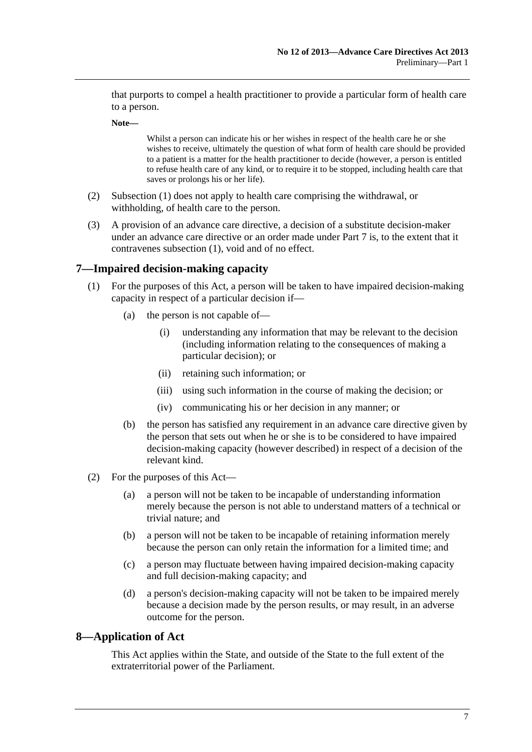<span id="page-6-0"></span>that purports to compel a health practitioner to provide a particular form of health care to a person.

**Note—** 

Whilst a person can indicate his or her wishes in respect of the health care he or she wishes to receive, ultimately the question of what form of health care should be provided to a patient is a matter for the health practitioner to decide (however, a person is entitled to refuse health care of any kind, or to require it to be stopped, including health care that saves or prolongs his or her life).

- (2) [Subsection \(1\)](#page-5-0) does not apply to health care comprising the withdrawal, or withholding, of health care to the person.
- (3) A provision of an advance care directive, a decision of a substitute decision-maker under an advance care directive or an order made under [Part 7](#page-21-0) is, to the extent that it contravenes [subsection \(1\)](#page-5-0), void and of no effect.

### **7—Impaired decision-making capacity**

- (1) For the purposes of this Act, a person will be taken to have impaired decision-making capacity in respect of a particular decision if—
	- (a) the person is not capable of—
		- (i) understanding any information that may be relevant to the decision (including information relating to the consequences of making a particular decision); or
		- (ii) retaining such information; or
		- (iii) using such information in the course of making the decision; or
		- (iv) communicating his or her decision in any manner; or
	- (b) the person has satisfied any requirement in an advance care directive given by the person that sets out when he or she is to be considered to have impaired decision-making capacity (however described) in respect of a decision of the relevant kind.
- (2) For the purposes of this Act—
	- (a) a person will not be taken to be incapable of understanding information merely because the person is not able to understand matters of a technical or trivial nature; and
	- (b) a person will not be taken to be incapable of retaining information merely because the person can only retain the information for a limited time; and
	- (c) a person may fluctuate between having impaired decision-making capacity and full decision-making capacity; and
	- (d) a person's decision-making capacity will not be taken to be impaired merely because a decision made by the person results, or may result, in an adverse outcome for the person.

#### **8—Application of Act**

This Act applies within the State, and outside of the State to the full extent of the extraterritorial power of the Parliament.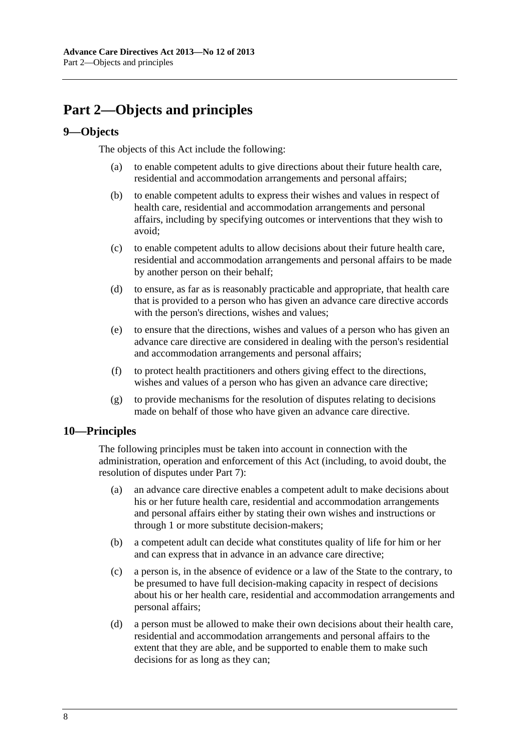# <span id="page-7-0"></span>**Part 2—Objects and principles**

### **9—Objects**

The objects of this Act include the following:

- (a) to enable competent adults to give directions about their future health care, residential and accommodation arrangements and personal affairs;
- (b) to enable competent adults to express their wishes and values in respect of health care, residential and accommodation arrangements and personal affairs, including by specifying outcomes or interventions that they wish to avoid;
- (c) to enable competent adults to allow decisions about their future health care, residential and accommodation arrangements and personal affairs to be made by another person on their behalf;
- (d) to ensure, as far as is reasonably practicable and appropriate, that health care that is provided to a person who has given an advance care directive accords with the person's directions, wishes and values;
- (e) to ensure that the directions, wishes and values of a person who has given an advance care directive are considered in dealing with the person's residential and accommodation arrangements and personal affairs;
- (f) to protect health practitioners and others giving effect to the directions, wishes and values of a person who has given an advance care directive;
- (g) to provide mechanisms for the resolution of disputes relating to decisions made on behalf of those who have given an advance care directive.

### **10—Principles**

The following principles must be taken into account in connection with the administration, operation and enforcement of this Act (including, to avoid doubt, the resolution of disputes under [Part 7\)](#page-21-0):

- (a) an advance care directive enables a competent adult to make decisions about his or her future health care, residential and accommodation arrangements and personal affairs either by stating their own wishes and instructions or through 1 or more substitute decision-makers;
- (b) a competent adult can decide what constitutes quality of life for him or her and can express that in advance in an advance care directive;
- (c) a person is, in the absence of evidence or a law of the State to the contrary, to be presumed to have full decision-making capacity in respect of decisions about his or her health care, residential and accommodation arrangements and personal affairs;
- (d) a person must be allowed to make their own decisions about their health care, residential and accommodation arrangements and personal affairs to the extent that they are able, and be supported to enable them to make such decisions for as long as they can;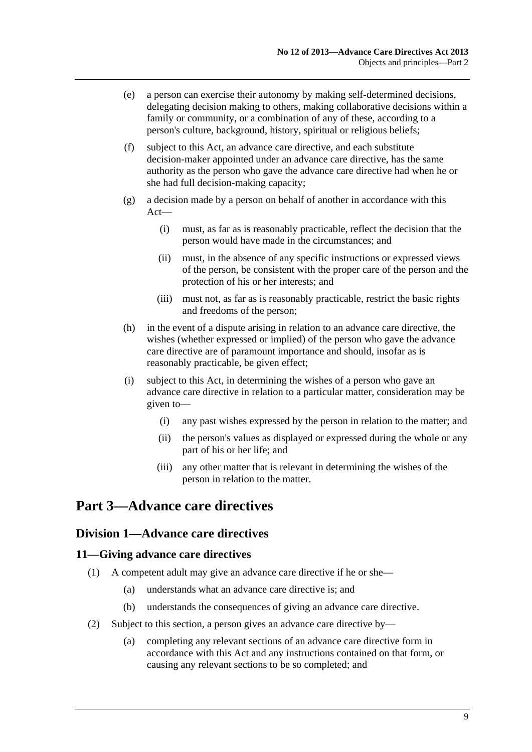- <span id="page-8-0"></span> (e) a person can exercise their autonomy by making self-determined decisions, delegating decision making to others, making collaborative decisions within a family or community, or a combination of any of these, according to a person's culture, background, history, spiritual or religious beliefs;
- (f) subject to this Act, an advance care directive, and each substitute decision-maker appointed under an advance care directive, has the same authority as the person who gave the advance care directive had when he or she had full decision-making capacity;
- (g) a decision made by a person on behalf of another in accordance with this Act—
	- (i) must, as far as is reasonably practicable, reflect the decision that the person would have made in the circumstances; and
	- (ii) must, in the absence of any specific instructions or expressed views of the person, be consistent with the proper care of the person and the protection of his or her interests; and
	- (iii) must not, as far as is reasonably practicable, restrict the basic rights and freedoms of the person;
- (h) in the event of a dispute arising in relation to an advance care directive, the wishes (whether expressed or implied) of the person who gave the advance care directive are of paramount importance and should, insofar as is reasonably practicable, be given effect;
- (i) subject to this Act, in determining the wishes of a person who gave an advance care directive in relation to a particular matter, consideration may be given to—
	- (i) any past wishes expressed by the person in relation to the matter; and
	- (ii) the person's values as displayed or expressed during the whole or any part of his or her life; and
	- (iii) any other matter that is relevant in determining the wishes of the person in relation to the matter.

## **Part 3—Advance care directives**

### **Division 1—Advance care directives**

### **11—Giving advance care directives**

- (1) A competent adult may give an advance care directive if he or she—
	- (a) understands what an advance care directive is; and
	- (b) understands the consequences of giving an advance care directive.
- (2) Subject to this section, a person gives an advance care directive by—
	- (a) completing any relevant sections of an advance care directive form in accordance with this Act and any instructions contained on that form, or causing any relevant sections to be so completed; and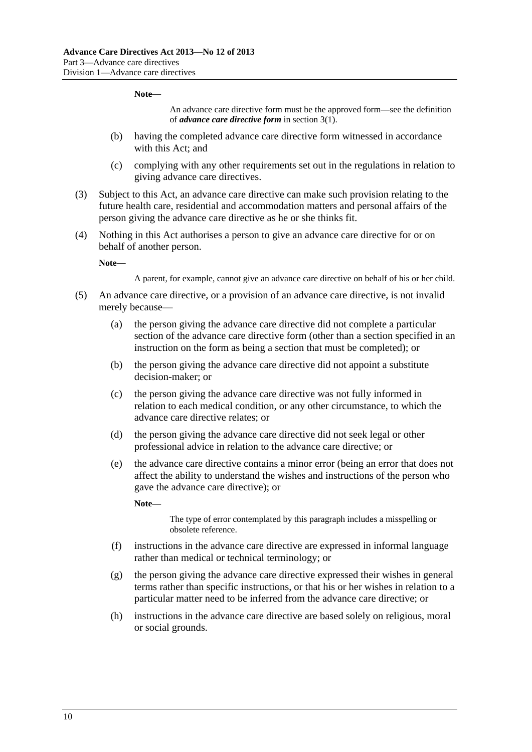#### **Note—**

An advance care directive form must be the approved form—see the definition of *advance care directive form* in [section 3\(1\)](#page-4-0).

- (b) having the completed advance care directive form witnessed in accordance with this Act; and
- (c) complying with any other requirements set out in the regulations in relation to giving advance care directives.
- (3) Subject to this Act, an advance care directive can make such provision relating to the future health care, residential and accommodation matters and personal affairs of the person giving the advance care directive as he or she thinks fit.
- (4) Nothing in this Act authorises a person to give an advance care directive for or on behalf of another person.

**Note—** 

A parent, for example, cannot give an advance care directive on behalf of his or her child.

- (5) An advance care directive, or a provision of an advance care directive, is not invalid merely because—
	- (a) the person giving the advance care directive did not complete a particular section of the advance care directive form (other than a section specified in an instruction on the form as being a section that must be completed); or
	- (b) the person giving the advance care directive did not appoint a substitute decision-maker; or
	- (c) the person giving the advance care directive was not fully informed in relation to each medical condition, or any other circumstance, to which the advance care directive relates; or
	- (d) the person giving the advance care directive did not seek legal or other professional advice in relation to the advance care directive; or
	- (e) the advance care directive contains a minor error (being an error that does not affect the ability to understand the wishes and instructions of the person who gave the advance care directive); or

**Note—** 

The type of error contemplated by this paragraph includes a misspelling or obsolete reference.

- (f) instructions in the advance care directive are expressed in informal language rather than medical or technical terminology; or
- (g) the person giving the advance care directive expressed their wishes in general terms rather than specific instructions, or that his or her wishes in relation to a particular matter need to be inferred from the advance care directive; or
- (h) instructions in the advance care directive are based solely on religious, moral or social grounds.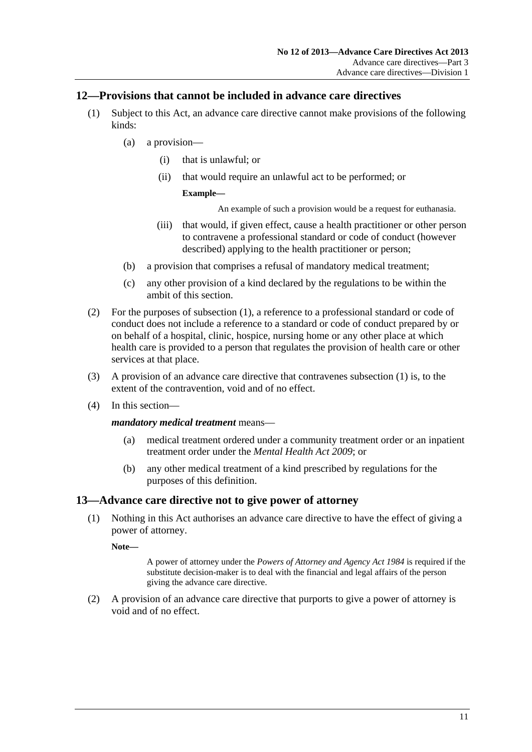### <span id="page-10-0"></span>**12—Provisions that cannot be included in advance care directives**

- (1) Subject to this Act, an advance care directive cannot make provisions of the following kinds:
	- (a) a provision—
		- (i) that is unlawful; or
		- (ii) that would require an unlawful act to be performed; or

#### **Example—**

An example of such a provision would be a request for euthanasia.

- (iii) that would, if given effect, cause a health practitioner or other person to contravene a professional standard or code of conduct (however described) applying to the health practitioner or person;
- (b) a provision that comprises a refusal of mandatory medical treatment;
- (c) any other provision of a kind declared by the regulations to be within the ambit of this section.
- (2) For the purposes of [subsection \(1\),](#page-10-0) a reference to a professional standard or code of conduct does not include a reference to a standard or code of conduct prepared by or on behalf of a hospital, clinic, hospice, nursing home or any other place at which health care is provided to a person that regulates the provision of health care or other services at that place.
- (3) A provision of an advance care directive that contravenes [subsection \(1\)](#page-10-0) is, to the extent of the contravention, void and of no effect.
- (4) In this section—

#### *mandatory medical treatment* means—

- (a) medical treatment ordered under a community treatment order or an inpatient treatment order under the *[Mental Health Act 2009](http://www.legislation.sa.gov.au/index.aspx?action=legref&type=act&legtitle=Mental%20Health%20Act%202009)*; or
- (b) any other medical treatment of a kind prescribed by regulations for the purposes of this definition.

### **13—Advance care directive not to give power of attorney**

 (1) Nothing in this Act authorises an advance care directive to have the effect of giving a power of attorney.

**Note—** 

A power of attorney under the *[Powers of Attorney and Agency Act 1984](http://www.legislation.sa.gov.au/index.aspx?action=legref&type=act&legtitle=Powers%20of%20Attorney%20and%20Agency%20Act%201984)* is required if the substitute decision-maker is to deal with the financial and legal affairs of the person giving the advance care directive.

 (2) A provision of an advance care directive that purports to give a power of attorney is void and of no effect.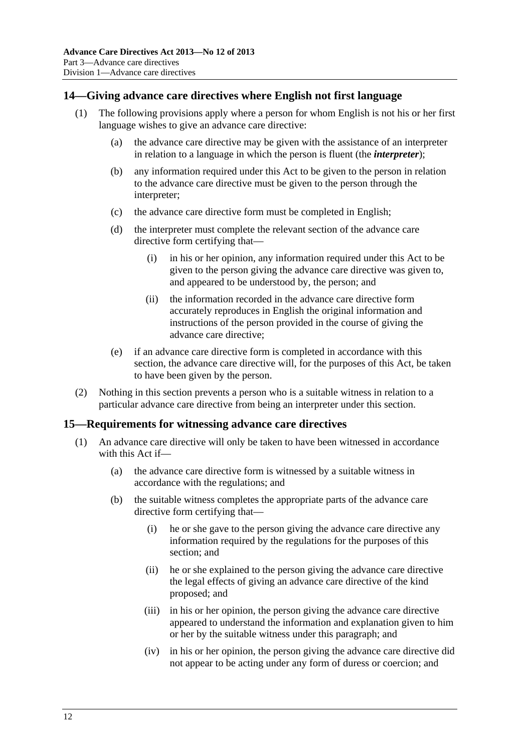### <span id="page-11-0"></span>**14—Giving advance care directives where English not first language**

- (1) The following provisions apply where a person for whom English is not his or her first language wishes to give an advance care directive:
	- (a) the advance care directive may be given with the assistance of an interpreter in relation to a language in which the person is fluent (the *interpreter*);
	- (b) any information required under this Act to be given to the person in relation to the advance care directive must be given to the person through the interpreter;
	- (c) the advance care directive form must be completed in English;
	- (d) the interpreter must complete the relevant section of the advance care directive form certifying that—
		- (i) in his or her opinion, any information required under this Act to be given to the person giving the advance care directive was given to, and appeared to be understood by, the person; and
		- (ii) the information recorded in the advance care directive form accurately reproduces in English the original information and instructions of the person provided in the course of giving the advance care directive;
	- (e) if an advance care directive form is completed in accordance with this section, the advance care directive will, for the purposes of this Act, be taken to have been given by the person.
- (2) Nothing in this section prevents a person who is a suitable witness in relation to a particular advance care directive from being an interpreter under this section.

#### **15—Requirements for witnessing advance care directives**

- (1) An advance care directive will only be taken to have been witnessed in accordance with this Act if—
	- (a) the advance care directive form is witnessed by a suitable witness in accordance with the regulations; and
	- (b) the suitable witness completes the appropriate parts of the advance care directive form certifying that—
		- (i) he or she gave to the person giving the advance care directive any information required by the regulations for the purposes of this section; and
		- (ii) he or she explained to the person giving the advance care directive the legal effects of giving an advance care directive of the kind proposed; and
		- (iii) in his or her opinion, the person giving the advance care directive appeared to understand the information and explanation given to him or her by the suitable witness under this paragraph; and
		- (iv) in his or her opinion, the person giving the advance care directive did not appear to be acting under any form of duress or coercion; and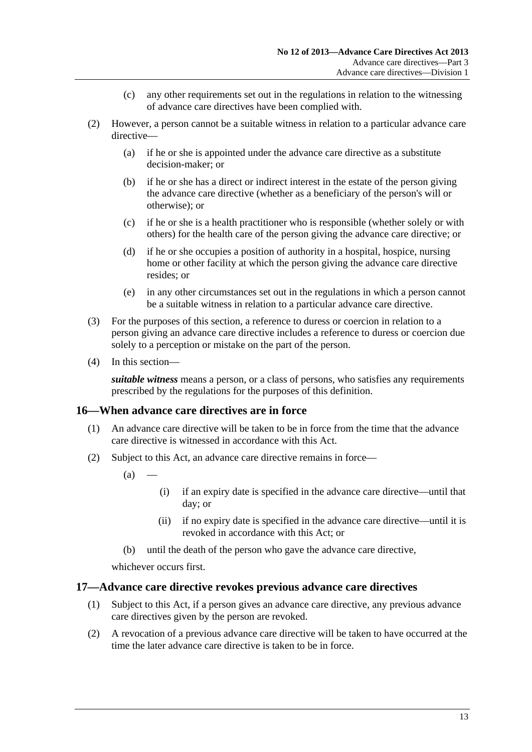- (c) any other requirements set out in the regulations in relation to the witnessing of advance care directives have been complied with.
- <span id="page-12-0"></span> (2) However, a person cannot be a suitable witness in relation to a particular advance care directive—
	- (a) if he or she is appointed under the advance care directive as a substitute decision-maker; or
	- (b) if he or she has a direct or indirect interest in the estate of the person giving the advance care directive (whether as a beneficiary of the person's will or otherwise); or
	- (c) if he or she is a health practitioner who is responsible (whether solely or with others) for the health care of the person giving the advance care directive; or
	- (d) if he or she occupies a position of authority in a hospital, hospice, nursing home or other facility at which the person giving the advance care directive resides; or
	- (e) in any other circumstances set out in the regulations in which a person cannot be a suitable witness in relation to a particular advance care directive.
- (3) For the purposes of this section, a reference to duress or coercion in relation to a person giving an advance care directive includes a reference to duress or coercion due solely to a perception or mistake on the part of the person.
- (4) In this section—

*suitable witness* means a person, or a class of persons, who satisfies any requirements prescribed by the regulations for the purposes of this definition.

#### **16—When advance care directives are in force**

- (1) An advance care directive will be taken to be in force from the time that the advance care directive is witnessed in accordance with this Act.
- (2) Subject to this Act, an advance care directive remains in force—
	- $(a)$
- (i) if an expiry date is specified in the advance care directive—until that day; or
- (ii) if no expiry date is specified in the advance care directive—until it is revoked in accordance with this Act; or
- (b) until the death of the person who gave the advance care directive,

whichever occurs first.

#### **17—Advance care directive revokes previous advance care directives**

- (1) Subject to this Act, if a person gives an advance care directive, any previous advance care directives given by the person are revoked.
- (2) A revocation of a previous advance care directive will be taken to have occurred at the time the later advance care directive is taken to be in force.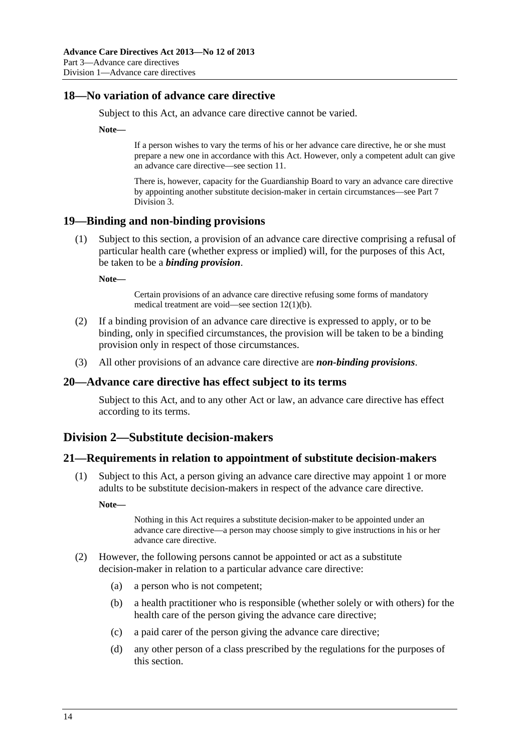### <span id="page-13-0"></span>**18—No variation of advance care directive**

Subject to this Act, an advance care directive cannot be varied.

**Note—** 

If a person wishes to vary the terms of his or her advance care directive, he or she must prepare a new one in accordance with this Act. However, only a competent adult can give an advance care directive—see [section 11.](#page-8-0)

There is, however, capacity for the Guardianship Board to vary an advance care directive by appointing another substitute decision-maker in certain circumstances—see [Part 7](#page-24-0)  [Division 3](#page-24-0).

#### **19—Binding and non-binding provisions**

 (1) Subject to this section, a provision of an advance care directive comprising a refusal of particular health care (whether express or implied) will, for the purposes of this Act, be taken to be a *binding provision*.

**Note—** 

Certain provisions of an advance care directive refusing some forms of mandatory medical treatment are void—see [section 12\(1\)\(b\).](#page-10-0)

- (2) If a binding provision of an advance care directive is expressed to apply, or to be binding, only in specified circumstances, the provision will be taken to be a binding provision only in respect of those circumstances.
- (3) All other provisions of an advance care directive are *non-binding provisions*.

#### **20—Advance care directive has effect subject to its terms**

Subject to this Act, and to any other Act or law, an advance care directive has effect according to its terms.

### **Division 2—Substitute decision-makers**

#### **21—Requirements in relation to appointment of substitute decision-makers**

 (1) Subject to this Act, a person giving an advance care directive may appoint 1 or more adults to be substitute decision-makers in respect of the advance care directive.

**Note—** 

Nothing in this Act requires a substitute decision-maker to be appointed under an advance care directive—a person may choose simply to give instructions in his or her advance care directive.

- (2) However, the following persons cannot be appointed or act as a substitute decision-maker in relation to a particular advance care directive:
	- (a) a person who is not competent;
	- (b) a health practitioner who is responsible (whether solely or with others) for the health care of the person giving the advance care directive;
	- (c) a paid carer of the person giving the advance care directive;
	- (d) any other person of a class prescribed by the regulations for the purposes of this section.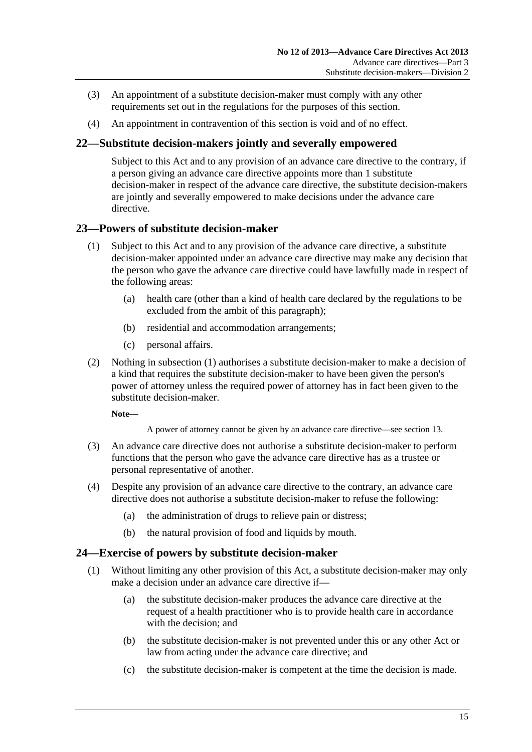- <span id="page-14-0"></span> (3) An appointment of a substitute decision-maker must comply with any other requirements set out in the regulations for the purposes of this section.
- (4) An appointment in contravention of this section is void and of no effect.

### **22—Substitute decision-makers jointly and severally empowered**

Subject to this Act and to any provision of an advance care directive to the contrary, if a person giving an advance care directive appoints more than 1 substitute decision-maker in respect of the advance care directive, the substitute decision-makers are jointly and severally empowered to make decisions under the advance care directive.

### **23—Powers of substitute decision-maker**

- (1) Subject to this Act and to any provision of the advance care directive, a substitute decision-maker appointed under an advance care directive may make any decision that the person who gave the advance care directive could have lawfully made in respect of the following areas:
	- (a) health care (other than a kind of health care declared by the regulations to be excluded from the ambit of this paragraph);
	- (b) residential and accommodation arrangements;
	- (c) personal affairs.
- (2) Nothing in [subsection \(1\)](#page-14-0) authorises a substitute decision-maker to make a decision of a kind that requires the substitute decision-maker to have been given the person's power of attorney unless the required power of attorney has in fact been given to the substitute decision-maker.

**Note—** 

A power of attorney cannot be given by an advance care directive—see [section 13.](#page-10-0)

- (3) An advance care directive does not authorise a substitute decision-maker to perform functions that the person who gave the advance care directive has as a trustee or personal representative of another.
- (4) Despite any provision of an advance care directive to the contrary, an advance care directive does not authorise a substitute decision-maker to refuse the following:
	- (a) the administration of drugs to relieve pain or distress;
	- (b) the natural provision of food and liquids by mouth.

#### **24—Exercise of powers by substitute decision-maker**

- (1) Without limiting any other provision of this Act, a substitute decision-maker may only make a decision under an advance care directive if—
	- (a) the substitute decision-maker produces the advance care directive at the request of a health practitioner who is to provide health care in accordance with the decision; and
	- (b) the substitute decision-maker is not prevented under this or any other Act or law from acting under the advance care directive; and
	- (c) the substitute decision-maker is competent at the time the decision is made.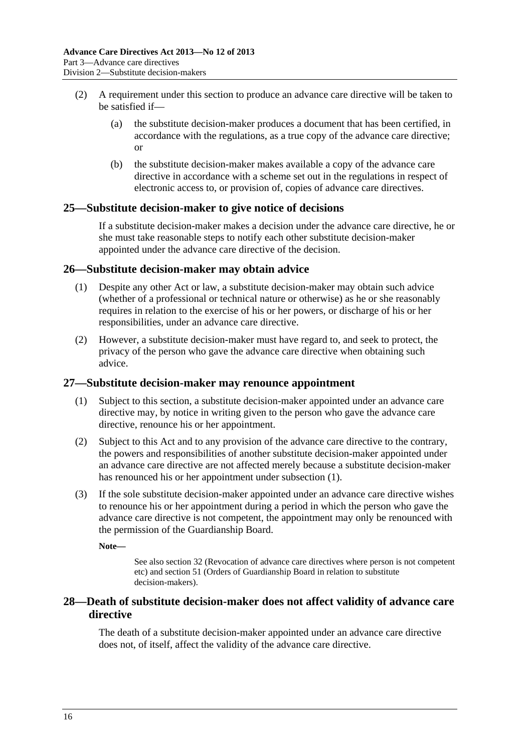- <span id="page-15-0"></span> (2) A requirement under this section to produce an advance care directive will be taken to be satisfied if—
	- (a) the substitute decision-maker produces a document that has been certified, in accordance with the regulations, as a true copy of the advance care directive; or
	- (b) the substitute decision-maker makes available a copy of the advance care directive in accordance with a scheme set out in the regulations in respect of electronic access to, or provision of, copies of advance care directives.

### **25—Substitute decision-maker to give notice of decisions**

If a substitute decision-maker makes a decision under the advance care directive, he or she must take reasonable steps to notify each other substitute decision-maker appointed under the advance care directive of the decision.

#### **26—Substitute decision-maker may obtain advice**

- (1) Despite any other Act or law, a substitute decision-maker may obtain such advice (whether of a professional or technical nature or otherwise) as he or she reasonably requires in relation to the exercise of his or her powers, or discharge of his or her responsibilities, under an advance care directive.
- (2) However, a substitute decision-maker must have regard to, and seek to protect, the privacy of the person who gave the advance care directive when obtaining such advice.

#### **27—Substitute decision-maker may renounce appointment**

- (1) Subject to this section, a substitute decision-maker appointed under an advance care directive may, by notice in writing given to the person who gave the advance care directive, renounce his or her appointment.
- (2) Subject to this Act and to any provision of the advance care directive to the contrary, the powers and responsibilities of another substitute decision-maker appointed under an advance care directive are not affected merely because a substitute decision-maker has renounced his or her appointment under [subsection \(1\)](#page-15-0).
- (3) If the sole substitute decision-maker appointed under an advance care directive wishes to renounce his or her appointment during a period in which the person who gave the advance care directive is not competent, the appointment may only be renounced with the permission of the Guardianship Board.

**Note—** 

See also [section 32](#page-17-0) (Revocation of advance care directives where person is not competent etc) and [section 51](#page-26-0) (Orders of Guardianship Board in relation to substitute decision-makers).

### **28—Death of substitute decision-maker does not affect validity of advance care directive**

The death of a substitute decision-maker appointed under an advance care directive does not, of itself, affect the validity of the advance care directive.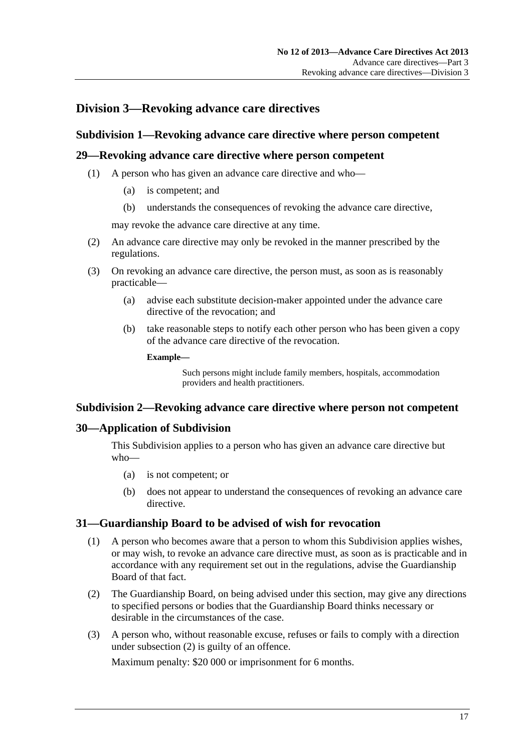# <span id="page-16-0"></span>**Division 3—Revoking advance care directives**

### **Subdivision 1—Revoking advance care directive where person competent**

### **29—Revoking advance care directive where person competent**

- (1) A person who has given an advance care directive and who—
	- (a) is competent; and
	- (b) understands the consequences of revoking the advance care directive,

may revoke the advance care directive at any time.

- (2) An advance care directive may only be revoked in the manner prescribed by the regulations.
- (3) On revoking an advance care directive, the person must, as soon as is reasonably practicable—
	- (a) advise each substitute decision-maker appointed under the advance care directive of the revocation; and
	- (b) take reasonable steps to notify each other person who has been given a copy of the advance care directive of the revocation.

**Example—** 

Such persons might include family members, hospitals, accommodation providers and health practitioners.

#### **Subdivision 2—Revoking advance care directive where person not competent**

#### **30—Application of Subdivision**

This Subdivision applies to a person who has given an advance care directive but who—

- (a) is not competent; or
- (b) does not appear to understand the consequences of revoking an advance care directive.

#### **31—Guardianship Board to be advised of wish for revocation**

- (1) A person who becomes aware that a person to whom this Subdivision applies wishes, or may wish, to revoke an advance care directive must, as soon as is practicable and in accordance with any requirement set out in the regulations, advise the Guardianship Board of that fact.
- (2) The Guardianship Board, on being advised under this section, may give any directions to specified persons or bodies that the Guardianship Board thinks necessary or desirable in the circumstances of the case.
- (3) A person who, without reasonable excuse, refuses or fails to comply with a direction under [subsection \(2\)](#page-16-0) is guilty of an offence.

Maximum penalty: \$20 000 or imprisonment for 6 months.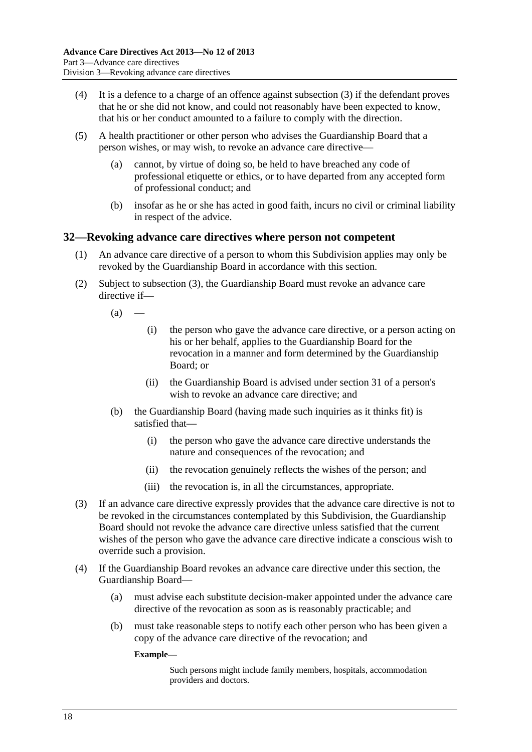- <span id="page-17-0"></span> (4) It is a defence to a charge of an offence against [subsection \(3\)](#page-16-0) if the defendant proves that he or she did not know, and could not reasonably have been expected to know, that his or her conduct amounted to a failure to comply with the direction.
- (5) A health practitioner or other person who advises the Guardianship Board that a person wishes, or may wish, to revoke an advance care directive—
	- (a) cannot, by virtue of doing so, be held to have breached any code of professional etiquette or ethics, or to have departed from any accepted form of professional conduct; and
	- (b) insofar as he or she has acted in good faith, incurs no civil or criminal liability in respect of the advice.

#### **32—Revoking advance care directives where person not competent**

- (1) An advance care directive of a person to whom this Subdivision applies may only be revoked by the Guardianship Board in accordance with this section.
- (2) Subject to [subsection \(3\),](#page-17-0) the Guardianship Board must revoke an advance care directive if—

 $(a)$ 

- (i) the person who gave the advance care directive, or a person acting on his or her behalf, applies to the Guardianship Board for the revocation in a manner and form determined by the Guardianship Board; or
- (ii) the Guardianship Board is advised under [section 31](#page-16-0) of a person's wish to revoke an advance care directive; and
- (b) the Guardianship Board (having made such inquiries as it thinks fit) is satisfied that—
	- (i) the person who gave the advance care directive understands the nature and consequences of the revocation; and
	- (ii) the revocation genuinely reflects the wishes of the person; and
	- (iii) the revocation is, in all the circumstances, appropriate.
- (3) If an advance care directive expressly provides that the advance care directive is not to be revoked in the circumstances contemplated by this Subdivision, the Guardianship Board should not revoke the advance care directive unless satisfied that the current wishes of the person who gave the advance care directive indicate a conscious wish to override such a provision.
- (4) If the Guardianship Board revokes an advance care directive under this section, the Guardianship Board—
	- (a) must advise each substitute decision-maker appointed under the advance care directive of the revocation as soon as is reasonably practicable; and
	- (b) must take reasonable steps to notify each other person who has been given a copy of the advance care directive of the revocation; and

#### **Example—**

Such persons might include family members, hospitals, accommodation providers and doctors.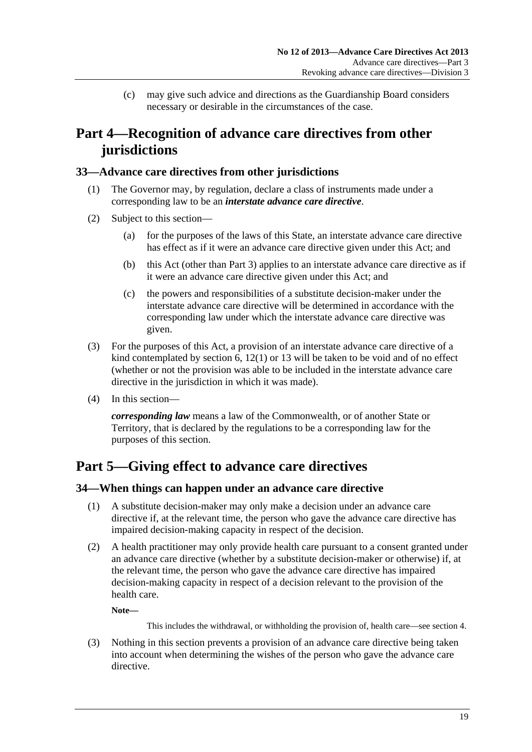(c) may give such advice and directions as the Guardianship Board considers necessary or desirable in the circumstances of the case.

# <span id="page-18-0"></span>**Part 4—Recognition of advance care directives from other jurisdictions**

### **33—Advance care directives from other jurisdictions**

- (1) The Governor may, by regulation, declare a class of instruments made under a corresponding law to be an *interstate advance care directive*.
- (2) Subject to this section—
	- (a) for the purposes of the laws of this State, an interstate advance care directive has effect as if it were an advance care directive given under this Act; and
	- (b) this Act (other than [Part 3\)](#page-8-0) applies to an interstate advance care directive as if it were an advance care directive given under this Act; and
	- (c) the powers and responsibilities of a substitute decision-maker under the interstate advance care directive will be determined in accordance with the corresponding law under which the interstate advance care directive was given.
- (3) For the purposes of this Act, a provision of an interstate advance care directive of a kind contemplated by [section 6,](#page-5-0) [12\(1\)](#page-10-0) or [13](#page-10-0) will be taken to be void and of no effect (whether or not the provision was able to be included in the interstate advance care directive in the jurisdiction in which it was made).
- (4) In this section—

*corresponding law* means a law of the Commonwealth, or of another State or Territory, that is declared by the regulations to be a corresponding law for the purposes of this section.

# **Part 5—Giving effect to advance care directives**

### **34—When things can happen under an advance care directive**

- (1) A substitute decision-maker may only make a decision under an advance care directive if, at the relevant time, the person who gave the advance care directive has impaired decision-making capacity in respect of the decision.
- (2) A health practitioner may only provide health care pursuant to a consent granted under an advance care directive (whether by a substitute decision-maker or otherwise) if, at the relevant time, the person who gave the advance care directive has impaired decision-making capacity in respect of a decision relevant to the provision of the health care.

**Note—** 

This includes the withdrawal, or withholding the provision of, health care—see [section 4.](#page-5-0)

 (3) Nothing in this section prevents a provision of an advance care directive being taken into account when determining the wishes of the person who gave the advance care directive.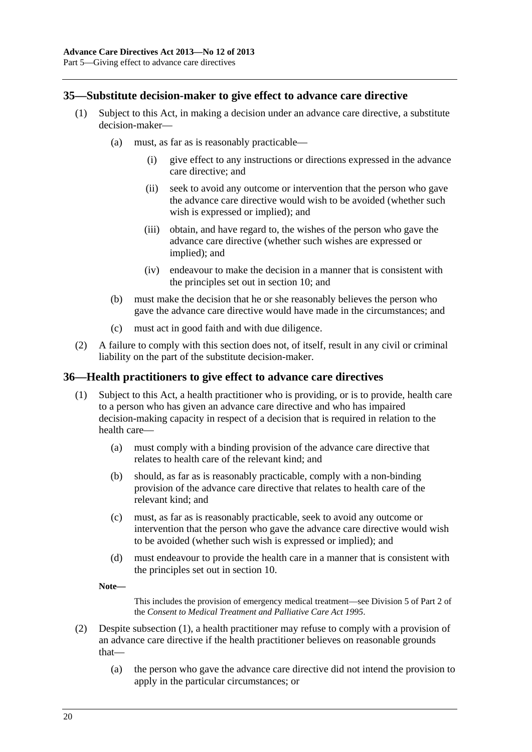### <span id="page-19-0"></span>**35—Substitute decision-maker to give effect to advance care directive**

- (1) Subject to this Act, in making a decision under an advance care directive, a substitute decision-maker—
	- (a) must, as far as is reasonably practicable—
		- (i) give effect to any instructions or directions expressed in the advance care directive; and
		- (ii) seek to avoid any outcome or intervention that the person who gave the advance care directive would wish to be avoided (whether such wish is expressed or implied); and
		- (iii) obtain, and have regard to, the wishes of the person who gave the advance care directive (whether such wishes are expressed or implied); and
		- (iv) endeavour to make the decision in a manner that is consistent with the principles set out in [section 10](#page-7-0); and
	- (b) must make the decision that he or she reasonably believes the person who gave the advance care directive would have made in the circumstances; and
	- (c) must act in good faith and with due diligence.
- (2) A failure to comply with this section does not, of itself, result in any civil or criminal liability on the part of the substitute decision-maker.

#### **36—Health practitioners to give effect to advance care directives**

- (1) Subject to this Act, a health practitioner who is providing, or is to provide, health care to a person who has given an advance care directive and who has impaired decision-making capacity in respect of a decision that is required in relation to the health care—
	- (a) must comply with a binding provision of the advance care directive that relates to health care of the relevant kind; and
	- (b) should, as far as is reasonably practicable, comply with a non-binding provision of the advance care directive that relates to health care of the relevant kind; and
	- (c) must, as far as is reasonably practicable, seek to avoid any outcome or intervention that the person who gave the advance care directive would wish to be avoided (whether such wish is expressed or implied); and
	- (d) must endeavour to provide the health care in a manner that is consistent with the principles set out in [section 10](#page-7-0).

**Note—** 

This includes the provision of emergency medical treatment—see Division 5 of Part 2 of the *[Consent to Medical Treatment and Palliative Care Act 1995](http://www.legislation.sa.gov.au/index.aspx?action=legref&type=act&legtitle=Consent%20to%20Medical%20Treatment%20and%20Palliative%20Care%20Act%201995)*.

- (2) Despite [subsection \(1\),](#page-19-0) a health practitioner may refuse to comply with a provision of an advance care directive if the health practitioner believes on reasonable grounds that—
	- (a) the person who gave the advance care directive did not intend the provision to apply in the particular circumstances; or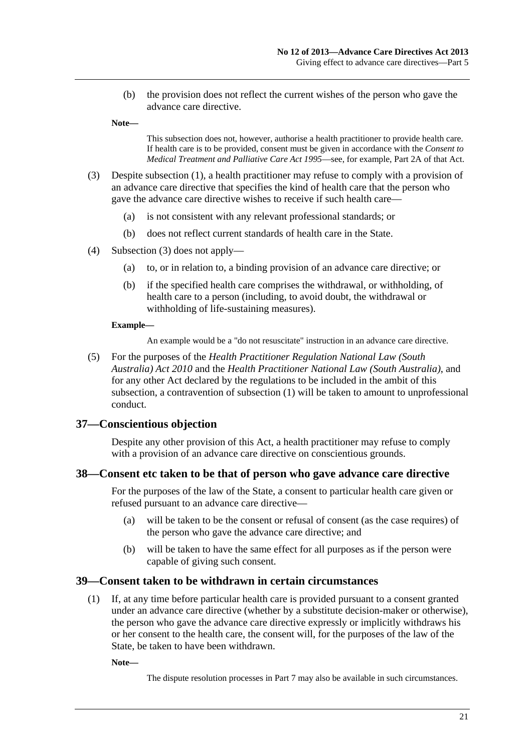<span id="page-20-0"></span> (b) the provision does not reflect the current wishes of the person who gave the advance care directive.

**Note—** 

This subsection does not, however, authorise a health practitioner to provide health care. If health care is to be provided, consent must be given in accordance with the *[Consent to](http://www.legislation.sa.gov.au/index.aspx?action=legref&type=act&legtitle=Consent%20to%20Medical%20Treatment%20and%20Palliative%20Care%20Act%201995)  [Medical Treatment and Palliative Care Act 1995](http://www.legislation.sa.gov.au/index.aspx?action=legref&type=act&legtitle=Consent%20to%20Medical%20Treatment%20and%20Palliative%20Care%20Act%201995)*—see, for example, Part 2A of that Act.

- (3) Despite [subsection \(1\),](#page-19-0) a health practitioner may refuse to comply with a provision of an advance care directive that specifies the kind of health care that the person who gave the advance care directive wishes to receive if such health care—
	- (a) is not consistent with any relevant professional standards; or
	- (b) does not reflect current standards of health care in the State.
- (4) [Subsection \(3\)](#page-20-0) does not apply—
	- (a) to, or in relation to, a binding provision of an advance care directive; or
	- (b) if the specified health care comprises the withdrawal, or withholding, of health care to a person (including, to avoid doubt, the withdrawal or withholding of life-sustaining measures).

#### **Example—**

An example would be a "do not resuscitate" instruction in an advance care directive.

 (5) For the purposes of the *[Health Practitioner Regulation National Law \(South](http://www.legislation.sa.gov.au/index.aspx?action=legref&type=act&legtitle=Health%20Practitioner%20Regulation%20National%20Law%20(South%20Australia)%20Act%202010)  [Australia\) Act 2010](http://www.legislation.sa.gov.au/index.aspx?action=legref&type=act&legtitle=Health%20Practitioner%20Regulation%20National%20Law%20(South%20Australia)%20Act%202010)* and the *[Health Practitioner National Law \(South Australia\)](http://www.legislation.sa.gov.au/index.aspx?action=legref&type=act&legtitle=Health%20Practitioner%20National%20Law%20(South%20Australia))*, and for any other Act declared by the regulations to be included in the ambit of this subsection, a contravention of [subsection \(1\)](#page-19-0) will be taken to amount to unprofessional conduct.

#### **37—Conscientious objection**

Despite any other provision of this Act, a health practitioner may refuse to comply with a provision of an advance care directive on conscientious grounds.

#### **38—Consent etc taken to be that of person who gave advance care directive**

For the purposes of the law of the State, a consent to particular health care given or refused pursuant to an advance care directive—

- (a) will be taken to be the consent or refusal of consent (as the case requires) of the person who gave the advance care directive; and
- (b) will be taken to have the same effect for all purposes as if the person were capable of giving such consent.

#### **39—Consent taken to be withdrawn in certain circumstances**

 (1) If, at any time before particular health care is provided pursuant to a consent granted under an advance care directive (whether by a substitute decision-maker or otherwise), the person who gave the advance care directive expressly or implicitly withdraws his or her consent to the health care, the consent will, for the purposes of the law of the State, be taken to have been withdrawn.

**Note—** 

The dispute resolution processes in [Part 7](#page-21-0) may also be available in such circumstances.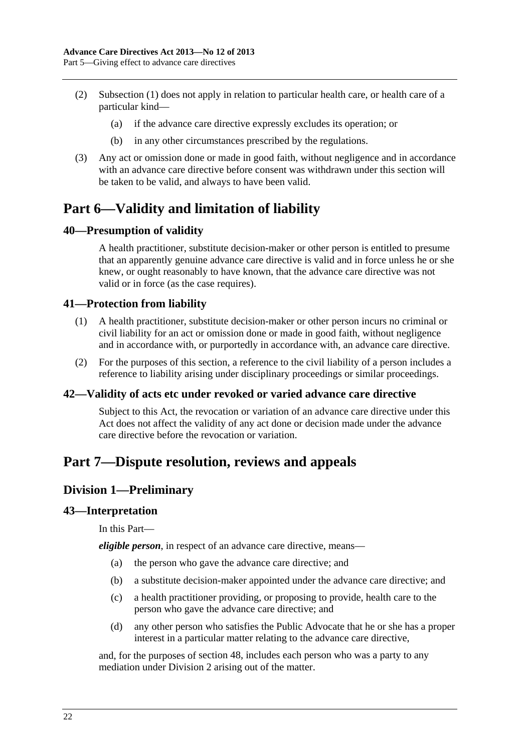- <span id="page-21-0"></span> (2) [Subsection \(1\)](#page-20-0) does not apply in relation to particular health care, or health care of a particular kind—
	- (a) if the advance care directive expressly excludes its operation; or
	- (b) in any other circumstances prescribed by the regulations.
- (3) Any act or omission done or made in good faith, without negligence and in accordance with an advance care directive before consent was withdrawn under this section will be taken to be valid, and always to have been valid.

# **Part 6—Validity and limitation of liability**

### **40—Presumption of validity**

A health practitioner, substitute decision-maker or other person is entitled to presume that an apparently genuine advance care directive is valid and in force unless he or she knew, or ought reasonably to have known, that the advance care directive was not valid or in force (as the case requires).

### **41—Protection from liability**

- (1) A health practitioner, substitute decision-maker or other person incurs no criminal or civil liability for an act or omission done or made in good faith, without negligence and in accordance with, or purportedly in accordance with, an advance care directive.
- (2) For the purposes of this section, a reference to the civil liability of a person includes a reference to liability arising under disciplinary proceedings or similar proceedings.

#### **42—Validity of acts etc under revoked or varied advance care directive**

Subject to this Act, the revocation or variation of an advance care directive under this Act does not affect the validity of any act done or decision made under the advance care directive before the revocation or variation.

# **Part 7—Dispute resolution, reviews and appeals**

### **Division 1—Preliminary**

#### **43—Interpretation**

In this Part—

*eligible person*, in respect of an advance care directive, means—

- (a) the person who gave the advance care directive; and
- (b) a substitute decision-maker appointed under the advance care directive; and
- (c) a health practitioner providing, or proposing to provide, health care to the person who gave the advance care directive; and
- (d) any other person who satisfies the Public Advocate that he or she has a proper interest in a particular matter relating to the advance care directive,

and, for the purposes of [section 48](#page-24-0), includes each person who was a party to any mediation under [Division 2](#page-22-0) arising out of the matter.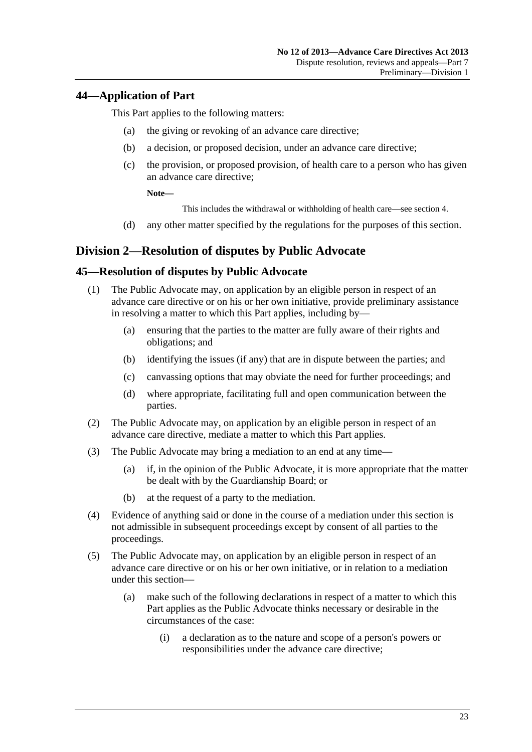### <span id="page-22-0"></span>**44—Application of Part**

This Part applies to the following matters:

- (a) the giving or revoking of an advance care directive;
- (b) a decision, or proposed decision, under an advance care directive;
- (c) the provision, or proposed provision, of health care to a person who has given an advance care directive;

**Note—** 

This includes the withdrawal or withholding of health care—see [section 4.](#page-5-0)

(d) any other matter specified by the regulations for the purposes of this section.

### **Division 2—Resolution of disputes by Public Advocate**

### **45—Resolution of disputes by Public Advocate**

- (1) The Public Advocate may, on application by an eligible person in respect of an advance care directive or on his or her own initiative, provide preliminary assistance in resolving a matter to which this Part applies, including by—
	- (a) ensuring that the parties to the matter are fully aware of their rights and obligations; and
	- (b) identifying the issues (if any) that are in dispute between the parties; and
	- (c) canvassing options that may obviate the need for further proceedings; and
	- (d) where appropriate, facilitating full and open communication between the parties.
- (2) The Public Advocate may, on application by an eligible person in respect of an advance care directive, mediate a matter to which this Part applies.
- (3) The Public Advocate may bring a mediation to an end at any time—
	- (a) if, in the opinion of the Public Advocate, it is more appropriate that the matter be dealt with by the Guardianship Board; or
	- (b) at the request of a party to the mediation.
- (4) Evidence of anything said or done in the course of a mediation under this section is not admissible in subsequent proceedings except by consent of all parties to the proceedings.
- (5) The Public Advocate may, on application by an eligible person in respect of an advance care directive or on his or her own initiative, or in relation to a mediation under this section—
	- (a) make such of the following declarations in respect of a matter to which this Part applies as the Public Advocate thinks necessary or desirable in the circumstances of the case:
		- (i) a declaration as to the nature and scope of a person's powers or responsibilities under the advance care directive;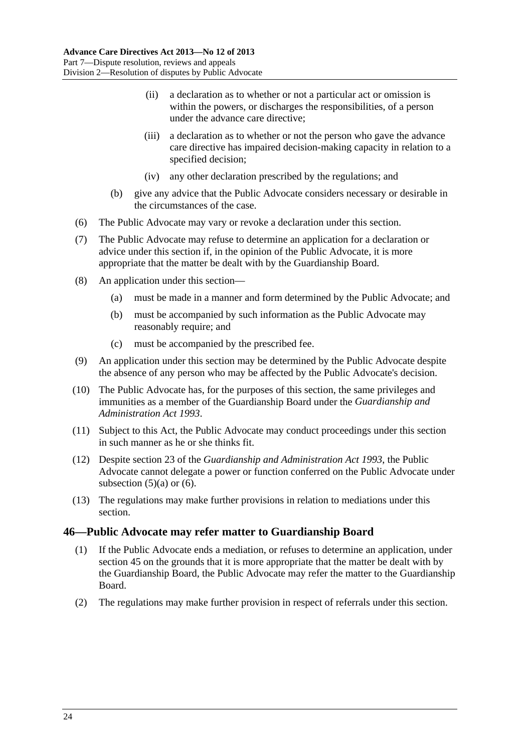- <span id="page-23-0"></span> (ii) a declaration as to whether or not a particular act or omission is within the powers, or discharges the responsibilities, of a person under the advance care directive;
- (iii) a declaration as to whether or not the person who gave the advance care directive has impaired decision-making capacity in relation to a specified decision;
- (iv) any other declaration prescribed by the regulations; and
- (b) give any advice that the Public Advocate considers necessary or desirable in the circumstances of the case.
- (6) The Public Advocate may vary or revoke a declaration under this section.
- (7) The Public Advocate may refuse to determine an application for a declaration or advice under this section if, in the opinion of the Public Advocate, it is more appropriate that the matter be dealt with by the Guardianship Board.
- (8) An application under this section—
	- (a) must be made in a manner and form determined by the Public Advocate; and
	- (b) must be accompanied by such information as the Public Advocate may reasonably require; and
	- (c) must be accompanied by the prescribed fee.
- (9) An application under this section may be determined by the Public Advocate despite the absence of any person who may be affected by the Public Advocate's decision.
- (10) The Public Advocate has, for the purposes of this section, the same privileges and immunities as a member of the Guardianship Board under the *[Guardianship and](http://www.legislation.sa.gov.au/index.aspx?action=legref&type=act&legtitle=Guardianship%20and%20Administration%20Act%201993)  [Administration Act 1993](http://www.legislation.sa.gov.au/index.aspx?action=legref&type=act&legtitle=Guardianship%20and%20Administration%20Act%201993)*.
- (11) Subject to this Act, the Public Advocate may conduct proceedings under this section in such manner as he or she thinks fit.
- (12) Despite section 23 of the *[Guardianship and Administration Act 1993](http://www.legislation.sa.gov.au/index.aspx?action=legref&type=act&legtitle=Guardianship%20and%20Administration%20Act%201993)*, the Public Advocate cannot delegate a power or function conferred on the Public Advocate under subsection  $(5)(a)$  or  $(6)$ .
- (13) The regulations may make further provisions in relation to mediations under this section.

#### **46—Public Advocate may refer matter to Guardianship Board**

- (1) If the Public Advocate ends a mediation, or refuses to determine an application, under [section 45](#page-22-0) on the grounds that it is more appropriate that the matter be dealt with by the Guardianship Board, the Public Advocate may refer the matter to the Guardianship Board.
- (2) The regulations may make further provision in respect of referrals under this section.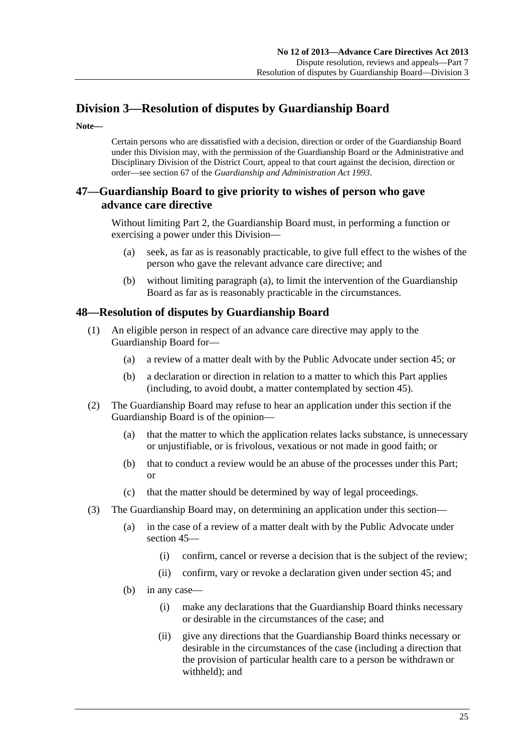# <span id="page-24-0"></span>**Division 3—Resolution of disputes by Guardianship Board**

**Note—** 

Certain persons who are dissatisfied with a decision, direction or order of the Guardianship Board under this Division may, with the permission of the Guardianship Board or the Administrative and Disciplinary Division of the District Court, appeal to that court against the decision, direction or order—see section 67 of the *[Guardianship and Administration Act 1993](http://www.legislation.sa.gov.au/index.aspx?action=legref&type=act&legtitle=Guardianship%20and%20Administration%20Act%201993)*.

### **47—Guardianship Board to give priority to wishes of person who gave advance care directive**

Without limiting [Part 2,](#page-7-0) the Guardianship Board must, in performing a function or exercising a power under this Division—

- (a) seek, as far as is reasonably practicable, to give full effect to the wishes of the person who gave the relevant advance care directive; and
- (b) without limiting [paragraph \(a\)](#page-24-0), to limit the intervention of the Guardianship Board as far as is reasonably practicable in the circumstances.

### **48—Resolution of disputes by Guardianship Board**

- (1) An eligible person in respect of an advance care directive may apply to the Guardianship Board for—
	- (a) a review of a matter dealt with by the Public Advocate under [section 45](#page-22-0); or
	- (b) a declaration or direction in relation to a matter to which this Part applies (including, to avoid doubt, a matter contemplated by [section 45](#page-22-0)).
- (2) The Guardianship Board may refuse to hear an application under this section if the Guardianship Board is of the opinion—
	- (a) that the matter to which the application relates lacks substance, is unnecessary or unjustifiable, or is frivolous, vexatious or not made in good faith; or
	- (b) that to conduct a review would be an abuse of the processes under this Part; or
	- (c) that the matter should be determined by way of legal proceedings.
- (3) The Guardianship Board may, on determining an application under this section—
	- (a) in the case of a review of a matter dealt with by the Public Advocate under [section 45](#page-22-0)—
		- (i) confirm, cancel or reverse a decision that is the subject of the review;
		- (ii) confirm, vary or revoke a declaration given under [section 45;](#page-22-0) and
	- (b) in any case—
		- (i) make any declarations that the Guardianship Board thinks necessary or desirable in the circumstances of the case; and
		- (ii) give any directions that the Guardianship Board thinks necessary or desirable in the circumstances of the case (including a direction that the provision of particular health care to a person be withdrawn or withheld); and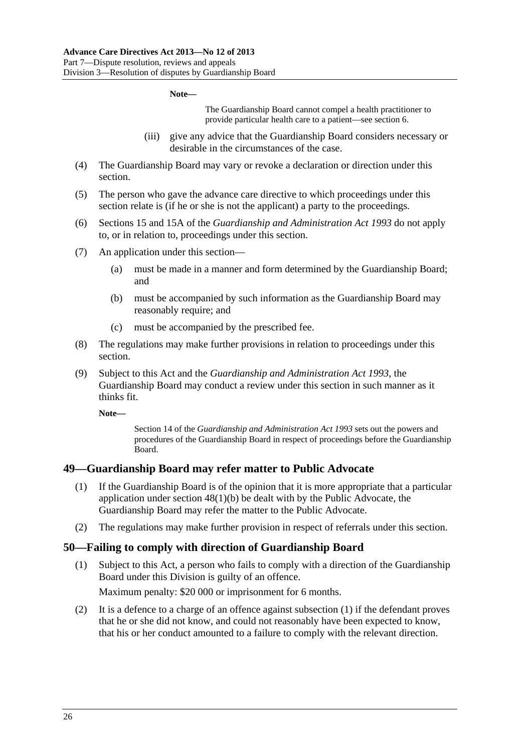#### **Note—**

The Guardianship Board cannot compel a health practitioner to provide particular health care to a patient—see [section 6](#page-5-0).

- (iii) give any advice that the Guardianship Board considers necessary or desirable in the circumstances of the case.
- <span id="page-25-0"></span> (4) The Guardianship Board may vary or revoke a declaration or direction under this section.
- (5) The person who gave the advance care directive to which proceedings under this section relate is (if he or she is not the applicant) a party to the proceedings.
- (6) Sections 15 and 15A of the *[Guardianship and Administration Act 1993](http://www.legislation.sa.gov.au/index.aspx?action=legref&type=act&legtitle=Guardianship%20and%20Administration%20Act%201993)* do not apply to, or in relation to, proceedings under this section.
- (7) An application under this section—
	- (a) must be made in a manner and form determined by the Guardianship Board; and
	- (b) must be accompanied by such information as the Guardianship Board may reasonably require; and
	- (c) must be accompanied by the prescribed fee.
- (8) The regulations may make further provisions in relation to proceedings under this section.
- (9) Subject to this Act and the *[Guardianship and Administration Act 1993](http://www.legislation.sa.gov.au/index.aspx?action=legref&type=act&legtitle=Guardianship%20and%20Administration%20Act%201993)*, the Guardianship Board may conduct a review under this section in such manner as it thinks fit.

**Note—** 

Section 14 of the *[Guardianship and Administration Act 1993](http://www.legislation.sa.gov.au/index.aspx?action=legref&type=act&legtitle=Guardianship%20and%20Administration%20Act%201993)* sets out the powers and procedures of the Guardianship Board in respect of proceedings before the Guardianship Board.

#### **49—Guardianship Board may refer matter to Public Advocate**

- (1) If the Guardianship Board is of the opinion that it is more appropriate that a particular application under [section 48\(1\)\(b\)](#page-24-0) be dealt with by the Public Advocate, the Guardianship Board may refer the matter to the Public Advocate.
- (2) The regulations may make further provision in respect of referrals under this section.

#### **50—Failing to comply with direction of Guardianship Board**

 (1) Subject to this Act, a person who fails to comply with a direction of the Guardianship Board under this Division is guilty of an offence.

Maximum penalty: \$20 000 or imprisonment for 6 months.

 (2) It is a defence to a charge of an offence against [subsection \(1\)](#page-25-0) if the defendant proves that he or she did not know, and could not reasonably have been expected to know, that his or her conduct amounted to a failure to comply with the relevant direction.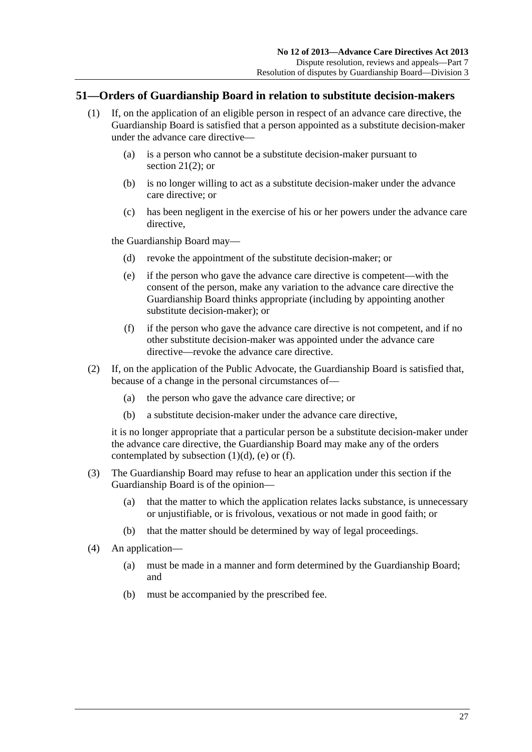### <span id="page-26-0"></span>**51—Orders of Guardianship Board in relation to substitute decision-makers**

- (1) If, on the application of an eligible person in respect of an advance care directive, the Guardianship Board is satisfied that a person appointed as a substitute decision-maker under the advance care directive—
	- (a) is a person who cannot be a substitute decision-maker pursuant to section  $21(2)$ ; or
	- (b) is no longer willing to act as a substitute decision-maker under the advance care directive; or
	- (c) has been negligent in the exercise of his or her powers under the advance care directive,

the Guardianship Board may—

- (d) revoke the appointment of the substitute decision-maker; or
- (e) if the person who gave the advance care directive is competent—with the consent of the person, make any variation to the advance care directive the Guardianship Board thinks appropriate (including by appointing another substitute decision-maker); or
- (f) if the person who gave the advance care directive is not competent, and if no other substitute decision-maker was appointed under the advance care directive—revoke the advance care directive.
- (2) If, on the application of the Public Advocate, the Guardianship Board is satisfied that, because of a change in the personal circumstances of—
	- (a) the person who gave the advance care directive; or
	- (b) a substitute decision-maker under the advance care directive,

it is no longer appropriate that a particular person be a substitute decision-maker under the advance care directive, the Guardianship Board may make any of the orders contemplated by subsection  $(1)(d)$ ,  $(e)$  or  $(f)$ .

- (3) The Guardianship Board may refuse to hear an application under this section if the Guardianship Board is of the opinion—
	- (a) that the matter to which the application relates lacks substance, is unnecessary or unjustifiable, or is frivolous, vexatious or not made in good faith; or
	- (b) that the matter should be determined by way of legal proceedings.
- (4) An application—
	- (a) must be made in a manner and form determined by the Guardianship Board; and
	- (b) must be accompanied by the prescribed fee.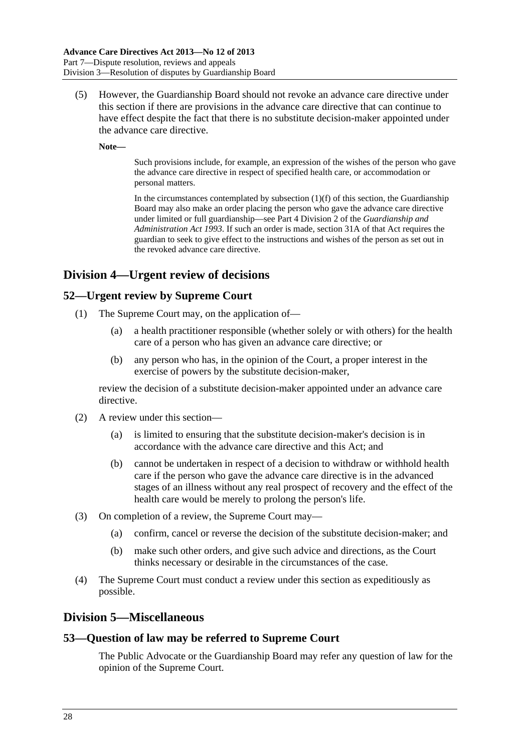<span id="page-27-0"></span> (5) However, the Guardianship Board should not revoke an advance care directive under this section if there are provisions in the advance care directive that can continue to have effect despite the fact that there is no substitute decision-maker appointed under the advance care directive.

**Note—** 

Such provisions include, for example, an expression of the wishes of the person who gave the advance care directive in respect of specified health care, or accommodation or personal matters.

In the circumstances contemplated by subsection  $(1)(f)$  of this section, the Guardianship Board may also make an order placing the person who gave the advance care directive under limited or full guardianship—see Part 4 Division 2 of the *[Guardianship and](http://www.legislation.sa.gov.au/index.aspx?action=legref&type=act&legtitle=Guardianship%20and%20Administration%20Act%201993)  [Administration Act 1993](http://www.legislation.sa.gov.au/index.aspx?action=legref&type=act&legtitle=Guardianship%20and%20Administration%20Act%201993)*. If such an order is made, section 31A of that Act requires the guardian to seek to give effect to the instructions and wishes of the person as set out in the revoked advance care directive.

## **Division 4—Urgent review of decisions**

### **52—Urgent review by Supreme Court**

- (1) The Supreme Court may, on the application of—
	- (a) a health practitioner responsible (whether solely or with others) for the health care of a person who has given an advance care directive; or
	- (b) any person who has, in the opinion of the Court, a proper interest in the exercise of powers by the substitute decision-maker,

review the decision of a substitute decision-maker appointed under an advance care directive.

- (2) A review under this section—
	- (a) is limited to ensuring that the substitute decision-maker's decision is in accordance with the advance care directive and this Act; and
	- (b) cannot be undertaken in respect of a decision to withdraw or withhold health care if the person who gave the advance care directive is in the advanced stages of an illness without any real prospect of recovery and the effect of the health care would be merely to prolong the person's life.
- (3) On completion of a review, the Supreme Court may—
	- (a) confirm, cancel or reverse the decision of the substitute decision-maker; and
	- (b) make such other orders, and give such advice and directions, as the Court thinks necessary or desirable in the circumstances of the case.
- (4) The Supreme Court must conduct a review under this section as expeditiously as possible.

### **Division 5—Miscellaneous**

### **53—Question of law may be referred to Supreme Court**

The Public Advocate or the Guardianship Board may refer any question of law for the opinion of the Supreme Court.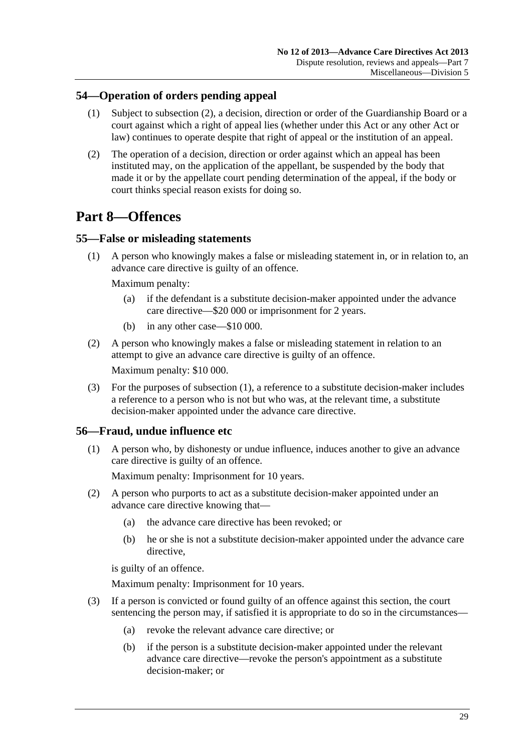### <span id="page-28-0"></span>**54—Operation of orders pending appeal**

- (1) Subject to [subsection \(2\),](#page-28-0) a decision, direction or order of the Guardianship Board or a court against which a right of appeal lies (whether under this Act or any other Act or law) continues to operate despite that right of appeal or the institution of an appeal.
- (2) The operation of a decision, direction or order against which an appeal has been instituted may, on the application of the appellant, be suspended by the body that made it or by the appellate court pending determination of the appeal, if the body or court thinks special reason exists for doing so.

# **Part 8—Offences**

### **55—False or misleading statements**

 (1) A person who knowingly makes a false or misleading statement in, or in relation to, an advance care directive is guilty of an offence.

Maximum penalty:

- (a) if the defendant is a substitute decision-maker appointed under the advance care directive—\$20 000 or imprisonment for 2 years.
- (b) in any other case—\$10 000.
- (2) A person who knowingly makes a false or misleading statement in relation to an attempt to give an advance care directive is guilty of an offence.

Maximum penalty: \$10 000.

 (3) For the purposes of [subsection \(1\),](#page-28-0) a reference to a substitute decision-maker includes a reference to a person who is not but who was, at the relevant time, a substitute decision-maker appointed under the advance care directive.

### **56—Fraud, undue influence etc**

 (1) A person who, by dishonesty or undue influence, induces another to give an advance care directive is guilty of an offence.

Maximum penalty: Imprisonment for 10 years.

- (2) A person who purports to act as a substitute decision-maker appointed under an advance care directive knowing that—
	- (a) the advance care directive has been revoked; or
	- (b) he or she is not a substitute decision-maker appointed under the advance care directive,

is guilty of an offence.

Maximum penalty: Imprisonment for 10 years.

- (3) If a person is convicted or found guilty of an offence against this section, the court sentencing the person may, if satisfied it is appropriate to do so in the circumstances—
	- (a) revoke the relevant advance care directive; or
	- (b) if the person is a substitute decision-maker appointed under the relevant advance care directive—revoke the person's appointment as a substitute decision-maker; or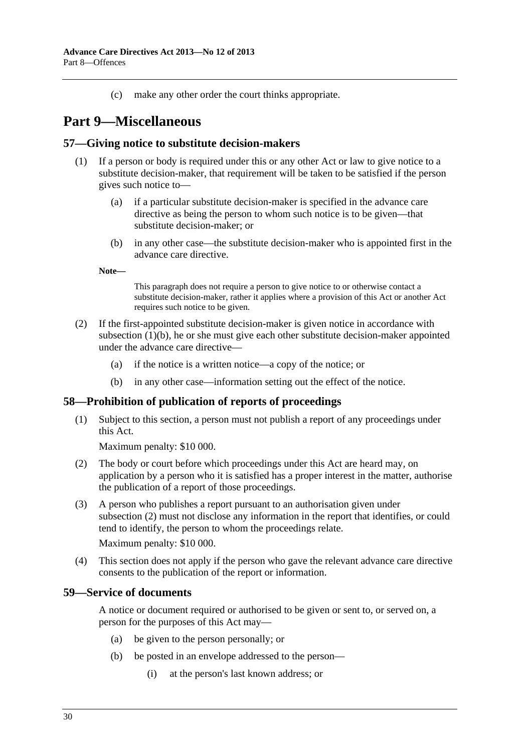(c) make any other order the court thinks appropriate.

# <span id="page-29-0"></span>**Part 9—Miscellaneous**

#### **57—Giving notice to substitute decision-makers**

- (1) If a person or body is required under this or any other Act or law to give notice to a substitute decision-maker, that requirement will be taken to be satisfied if the person gives such notice to—
	- (a) if a particular substitute decision-maker is specified in the advance care directive as being the person to whom such notice is to be given—that substitute decision-maker; or
	- (b) in any other case—the substitute decision-maker who is appointed first in the advance care directive.

**Note—** 

This paragraph does not require a person to give notice to or otherwise contact a substitute decision-maker, rather it applies where a provision of this Act or another Act requires such notice to be given.

- (2) If the first-appointed substitute decision-maker is given notice in accordance with [subsection \(1\)\(b\),](#page-29-0) he or she must give each other substitute decision-maker appointed under the advance care directive—
	- (a) if the notice is a written notice—a copy of the notice; or
	- (b) in any other case—information setting out the effect of the notice.

#### **58—Prohibition of publication of reports of proceedings**

 (1) Subject to this section, a person must not publish a report of any proceedings under this Act.

Maximum penalty: \$10 000.

- (2) The body or court before which proceedings under this Act are heard may, on application by a person who it is satisfied has a proper interest in the matter, authorise the publication of a report of those proceedings.
- (3) A person who publishes a report pursuant to an authorisation given under [subsection \(2\)](#page-29-0) must not disclose any information in the report that identifies, or could tend to identify, the person to whom the proceedings relate. Maximum penalty: \$10 000.
- (4) This section does not apply if the person who gave the relevant advance care directive consents to the publication of the report or information.

#### **59—Service of documents**

A notice or document required or authorised to be given or sent to, or served on, a person for the purposes of this Act may—

- (a) be given to the person personally; or
- (b) be posted in an envelope addressed to the person—
	- (i) at the person's last known address; or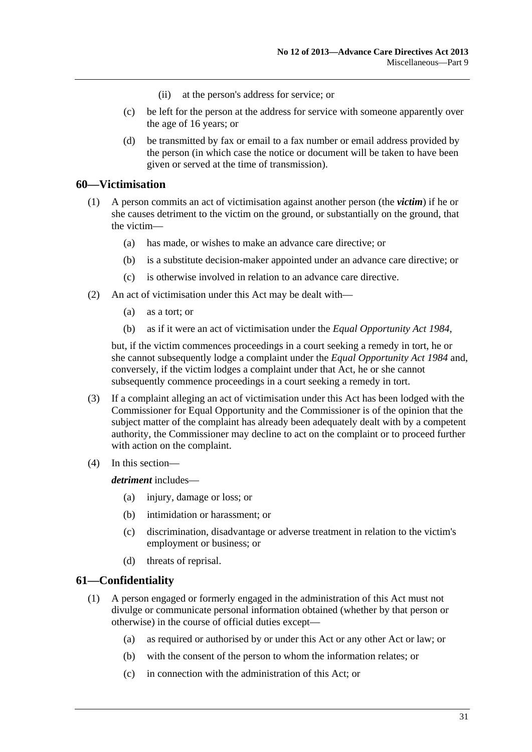- (ii) at the person's address for service; or
- <span id="page-30-0"></span> (c) be left for the person at the address for service with someone apparently over the age of 16 years; or
- (d) be transmitted by fax or email to a fax number or email address provided by the person (in which case the notice or document will be taken to have been given or served at the time of transmission).

#### **60—Victimisation**

- (1) A person commits an act of victimisation against another person (the *victim*) if he or she causes detriment to the victim on the ground, or substantially on the ground, that the victim—
	- (a) has made, or wishes to make an advance care directive; or
	- (b) is a substitute decision-maker appointed under an advance care directive; or
	- (c) is otherwise involved in relation to an advance care directive.
- (2) An act of victimisation under this Act may be dealt with—
	- (a) as a tort; or
	- (b) as if it were an act of victimisation under the *[Equal Opportunity Act 1984](http://www.legislation.sa.gov.au/index.aspx?action=legref&type=act&legtitle=Equal%20Opportunity%20Act%201984)*,

but, if the victim commences proceedings in a court seeking a remedy in tort, he or she cannot subsequently lodge a complaint under the *[Equal Opportunity Act 1984](http://www.legislation.sa.gov.au/index.aspx?action=legref&type=act&legtitle=Equal%20Opportunity%20Act%201984)* and, conversely, if the victim lodges a complaint under that Act, he or she cannot subsequently commence proceedings in a court seeking a remedy in tort.

- (3) If a complaint alleging an act of victimisation under this Act has been lodged with the Commissioner for Equal Opportunity and the Commissioner is of the opinion that the subject matter of the complaint has already been adequately dealt with by a competent authority, the Commissioner may decline to act on the complaint or to proceed further with action on the complaint.
- (4) In this section—

*detriment* includes—

- (a) injury, damage or loss; or
- (b) intimidation or harassment; or
- (c) discrimination, disadvantage or adverse treatment in relation to the victim's employment or business; or
- (d) threats of reprisal.

### **61—Confidentiality**

- (1) A person engaged or formerly engaged in the administration of this Act must not divulge or communicate personal information obtained (whether by that person or otherwise) in the course of official duties except—
	- (a) as required or authorised by or under this Act or any other Act or law; or
	- (b) with the consent of the person to whom the information relates; or
	- (c) in connection with the administration of this Act; or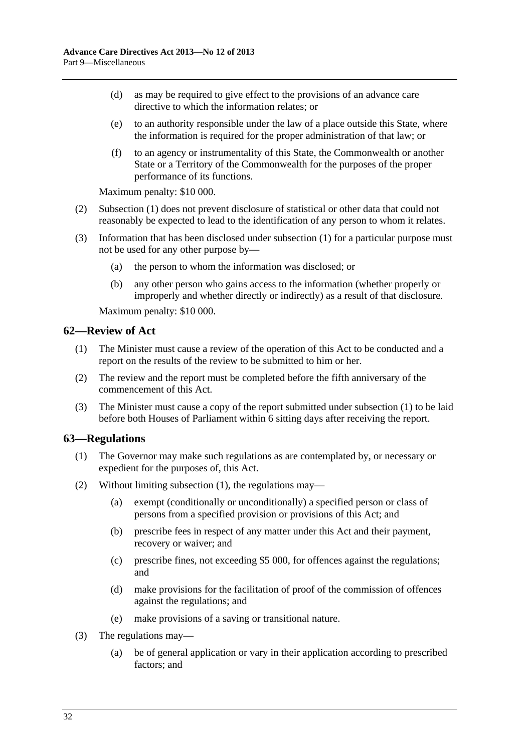- <span id="page-31-0"></span> (d) as may be required to give effect to the provisions of an advance care directive to which the information relates; or
- (e) to an authority responsible under the law of a place outside this State, where the information is required for the proper administration of that law; or
- (f) to an agency or instrumentality of this State, the Commonwealth or another State or a Territory of the Commonwealth for the purposes of the proper performance of its functions.

Maximum penalty: \$10 000.

- (2) [Subsection \(1\)](#page-30-0) does not prevent disclosure of statistical or other data that could not reasonably be expected to lead to the identification of any person to whom it relates.
- (3) Information that has been disclosed under [subsection \(1\)](#page-30-0) for a particular purpose must not be used for any other purpose by—
	- (a) the person to whom the information was disclosed; or
	- (b) any other person who gains access to the information (whether properly or improperly and whether directly or indirectly) as a result of that disclosure.

Maximum penalty: \$10 000.

### **62—Review of Act**

- (1) The Minister must cause a review of the operation of this Act to be conducted and a report on the results of the review to be submitted to him or her.
- (2) The review and the report must be completed before the fifth anniversary of the commencement of this Act.
- (3) The Minister must cause a copy of the report submitted under [subsection \(1\)](#page-31-0) to be laid before both Houses of Parliament within 6 sitting days after receiving the report.

#### **63—Regulations**

- (1) The Governor may make such regulations as are contemplated by, or necessary or expedient for the purposes of, this Act.
- (2) Without limiting [subsection \(1\)](#page-31-0), the regulations may—
	- (a) exempt (conditionally or unconditionally) a specified person or class of persons from a specified provision or provisions of this Act; and
	- (b) prescribe fees in respect of any matter under this Act and their payment, recovery or waiver; and
	- (c) prescribe fines, not exceeding \$5 000, for offences against the regulations; and
	- (d) make provisions for the facilitation of proof of the commission of offences against the regulations; and
	- (e) make provisions of a saving or transitional nature.
- (3) The regulations may—
	- (a) be of general application or vary in their application according to prescribed factors; and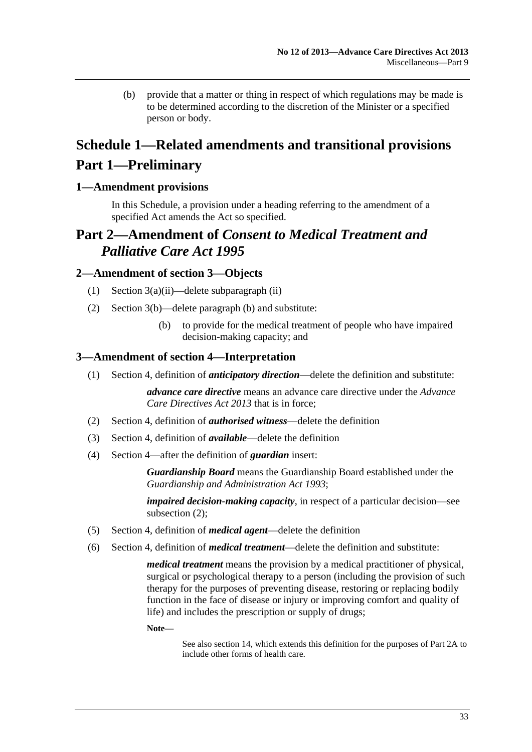<span id="page-32-0"></span> (b) provide that a matter or thing in respect of which regulations may be made is to be determined according to the discretion of the Minister or a specified person or body.

# **Schedule 1—Related amendments and transitional provisions Part 1—Preliminary**

### **1—Amendment provisions**

In this Schedule, a provision under a heading referring to the amendment of a specified Act amends the Act so specified.

# **Part 2—Amendment of** *Consent to Medical Treatment and Palliative Care Act 1995*

### **2—Amendment of section 3—Objects**

- (1) Section 3(a)(ii)—delete subparagraph (ii)
- (2) Section 3(b)—delete paragraph (b) and substitute:
	- (b) to provide for the medical treatment of people who have impaired decision-making capacity; and

#### **3—Amendment of section 4—Interpretation**

(1) Section 4, definition of *anticipatory direction*—delete the definition and substitute:

*advance care directive* means an advance care directive under the *[Advance](http://www.legislation.sa.gov.au/index.aspx?action=legref&type=act&legtitle=Advance%20Care%20Directives%20Act%202013)  [Care Directives Act 2013](http://www.legislation.sa.gov.au/index.aspx?action=legref&type=act&legtitle=Advance%20Care%20Directives%20Act%202013)* that is in force;

- (2) Section 4, definition of *authorised witness*—delete the definition
- (3) Section 4, definition of *available*—delete the definition
- (4) Section 4—after the definition of *guardian* insert:

*Guardianship Board* means the Guardianship Board established under the *[Guardianship and Administration Act 1993](http://www.legislation.sa.gov.au/index.aspx?action=legref&type=act&legtitle=Guardianship%20and%20Administration%20Act%201993)*;

*impaired decision-making capacity*, in respect of a particular decision—see subsection (2);

- (5) Section 4, definition of *medical agent*—delete the definition
- (6) Section 4, definition of *medical treatment*—delete the definition and substitute:

*medical treatment* means the provision by a medical practitioner of physical, surgical or psychological therapy to a person (including the provision of such therapy for the purposes of preventing disease, restoring or replacing bodily function in the face of disease or injury or improving comfort and quality of life) and includes the prescription or supply of drugs;

**Note—** 

See also section 14, which extends this definition for the purposes of Part 2A to include other forms of health care.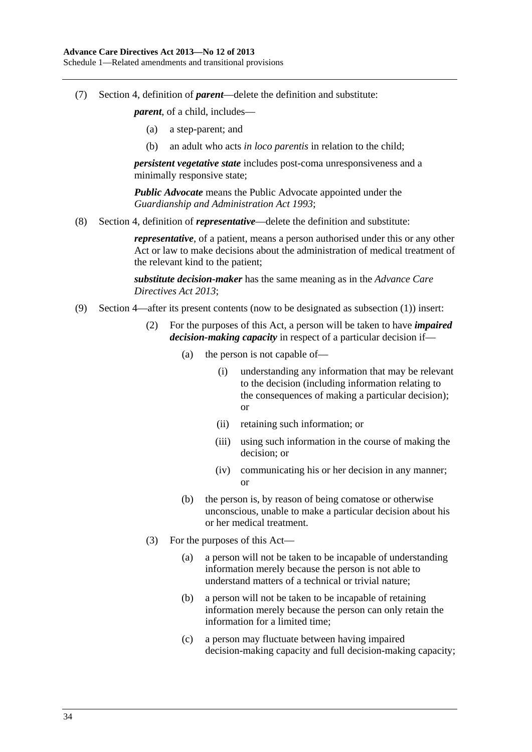Schedule 1—Related amendments and transitional provisions

(7) Section 4, definition of *parent*—delete the definition and substitute:

*parent*, of a child, includes—

- (a) a step-parent; and
- (b) an adult who acts *in loco parentis* in relation to the child;

*persistent vegetative state* includes post-coma unresponsiveness and a minimally responsive state;

*Public Advocate* means the Public Advocate appointed under the *[Guardianship and Administration Act 1993](http://www.legislation.sa.gov.au/index.aspx?action=legref&type=act&legtitle=Guardianship%20and%20Administration%20Act%201993)*;

(8) Section 4, definition of *representative*—delete the definition and substitute:

*representative*, of a patient, means a person authorised under this or any other Act or law to make decisions about the administration of medical treatment of the relevant kind to the patient;

*substitute decision-maker* has the same meaning as in the *[Advance Care](http://www.legislation.sa.gov.au/index.aspx?action=legref&type=act&legtitle=Advance%20Care%20Directives%20Act%202013)  [Directives Act 2013](http://www.legislation.sa.gov.au/index.aspx?action=legref&type=act&legtitle=Advance%20Care%20Directives%20Act%202013)*;

- (9) Section 4—after its present contents (now to be designated as subsection (1)) insert:
	- (2) For the purposes of this Act, a person will be taken to have *impaired decision-making capacity* in respect of a particular decision if—
		- (a) the person is not capable of—
			- (i) understanding any information that may be relevant to the decision (including information relating to the consequences of making a particular decision); or
			- (ii) retaining such information; or
			- (iii) using such information in the course of making the decision; or
			- (iv) communicating his or her decision in any manner; or
		- (b) the person is, by reason of being comatose or otherwise unconscious, unable to make a particular decision about his or her medical treatment.
	- (3) For the purposes of this Act—
		- (a) a person will not be taken to be incapable of understanding information merely because the person is not able to understand matters of a technical or trivial nature;
		- (b) a person will not be taken to be incapable of retaining information merely because the person can only retain the information for a limited time;
		- (c) a person may fluctuate between having impaired decision-making capacity and full decision-making capacity;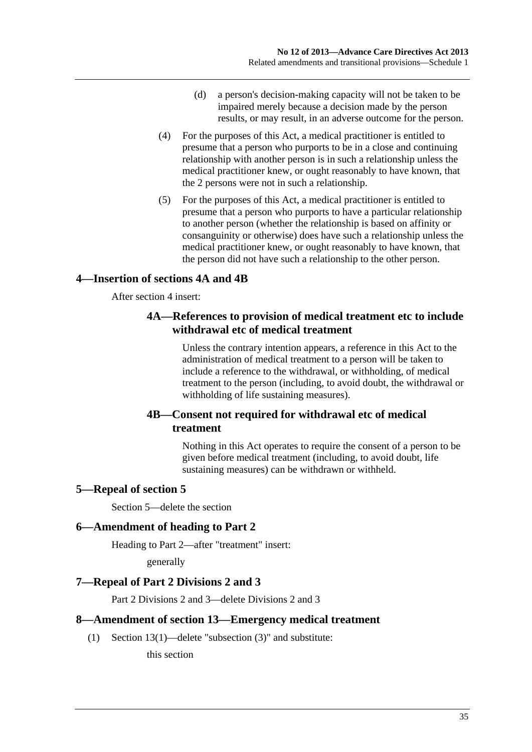- (d) a person's decision-making capacity will not be taken to be impaired merely because a decision made by the person results, or may result, in an adverse outcome for the person.
- <span id="page-34-0"></span> (4) For the purposes of this Act, a medical practitioner is entitled to presume that a person who purports to be in a close and continuing relationship with another person is in such a relationship unless the medical practitioner knew, or ought reasonably to have known, that the 2 persons were not in such a relationship.
- (5) For the purposes of this Act, a medical practitioner is entitled to presume that a person who purports to have a particular relationship to another person (whether the relationship is based on affinity or consanguinity or otherwise) does have such a relationship unless the medical practitioner knew, or ought reasonably to have known, that the person did not have such a relationship to the other person.

### **4—Insertion of sections 4A and 4B**

After section 4 insert:

### **4A—References to provision of medical treatment etc to include withdrawal etc of medical treatment**

Unless the contrary intention appears, a reference in this Act to the administration of medical treatment to a person will be taken to include a reference to the withdrawal, or withholding, of medical treatment to the person (including, to avoid doubt, the withdrawal or withholding of life sustaining measures).

### **4B—Consent not required for withdrawal etc of medical treatment**

Nothing in this Act operates to require the consent of a person to be given before medical treatment (including, to avoid doubt, life sustaining measures) can be withdrawn or withheld.

### **5—Repeal of section 5**

Section 5—delete the section

### **6—Amendment of heading to Part 2**

Heading to Part 2—after "treatment" insert:

generally

### **7—Repeal of Part 2 Divisions 2 and 3**

Part 2 Divisions 2 and 3—delete Divisions 2 and 3

### **8—Amendment of section 13—Emergency medical treatment**

(1) Section 13(1)—delete "subsection (3)" and substitute:

this section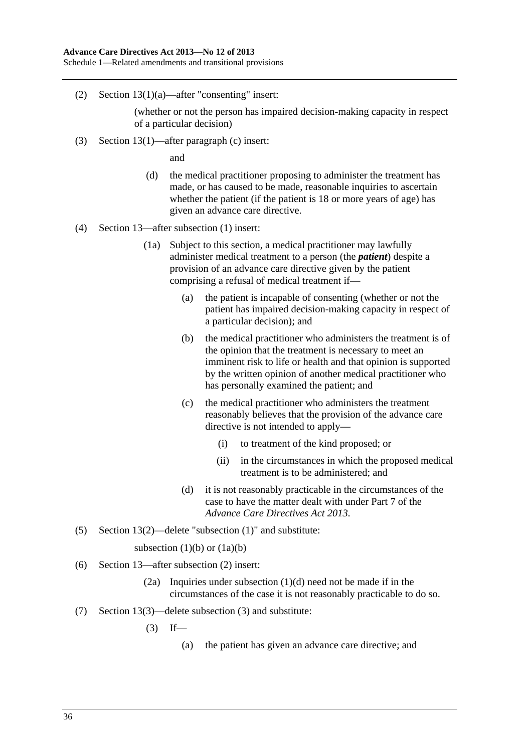(2) Section 13(1)(a)—after "consenting" insert:

(whether or not the person has impaired decision-making capacity in respect of a particular decision)

(3) Section 13(1)—after paragraph (c) insert:

and

- (d) the medical practitioner proposing to administer the treatment has made, or has caused to be made, reasonable inquiries to ascertain whether the patient (if the patient is 18 or more years of age) has given an advance care directive.
- (4) Section 13—after subsection (1) insert:
	- (1a) Subject to this section, a medical practitioner may lawfully administer medical treatment to a person (the *patient*) despite a provision of an advance care directive given by the patient comprising a refusal of medical treatment if—
		- (a) the patient is incapable of consenting (whether or not the patient has impaired decision-making capacity in respect of a particular decision); and
		- (b) the medical practitioner who administers the treatment is of the opinion that the treatment is necessary to meet an imminent risk to life or health and that opinion is supported by the written opinion of another medical practitioner who has personally examined the patient; and
		- (c) the medical practitioner who administers the treatment reasonably believes that the provision of the advance care directive is not intended to apply—
			- (i) to treatment of the kind proposed; or
			- (ii) in the circumstances in which the proposed medical treatment is to be administered; and
		- (d) it is not reasonably practicable in the circumstances of the case to have the matter dealt with under Part 7 of the *[Advance Care Directives Act 2013](http://www.legislation.sa.gov.au/index.aspx?action=legref&type=act&legtitle=Advance%20Care%20Directives%20Act%202013)*.
- (5) Section 13(2)—delete "subsection (1)" and substitute:

subsection  $(1)(b)$  or  $(1a)(b)$ 

- (6) Section 13—after subsection (2) insert:
	- (2a) Inquiries under subsection (1)(d) need not be made if in the circumstances of the case it is not reasonably practicable to do so.
- (7) Section 13(3)—delete subsection (3) and substitute:

 $(3)$  If—

(a) the patient has given an advance care directive; and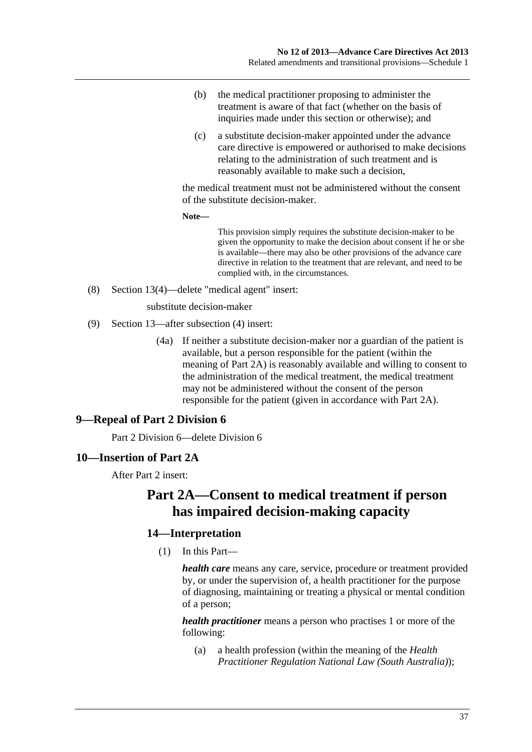- <span id="page-36-0"></span> (b) the medical practitioner proposing to administer the treatment is aware of that fact (whether on the basis of inquiries made under this section or otherwise); and
- (c) a substitute decision-maker appointed under the advance care directive is empowered or authorised to make decisions relating to the administration of such treatment and is reasonably available to make such a decision,

the medical treatment must not be administered without the consent of the substitute decision-maker.

**Note—** 

This provision simply requires the substitute decision-maker to be given the opportunity to make the decision about consent if he or she is available—there may also be other provisions of the advance care directive in relation to the treatment that are relevant, and need to be complied with, in the circumstances.

(8) Section 13(4)—delete "medical agent" insert:

substitute decision-maker

- (9) Section 13—after subsection (4) insert:
	- (4a) If neither a substitute decision-maker nor a guardian of the patient is available, but a person responsible for the patient (within the meaning of Part 2A) is reasonably available and willing to consent to the administration of the medical treatment, the medical treatment may not be administered without the consent of the person responsible for the patient (given in accordance with Part 2A).

### **9—Repeal of Part 2 Division 6**

Part 2 Division 6—delete Division 6

#### **10—Insertion of Part 2A**

After Part 2 insert:

# **Part 2A—Consent to medical treatment if person has impaired decision-making capacity**

### **14—Interpretation**

(1) In this Part—

*health care* means any care, service, procedure or treatment provided by, or under the supervision of, a health practitioner for the purpose of diagnosing, maintaining or treating a physical or mental condition of a person;

*health practitioner* means a person who practises 1 or more of the following:

 (a) a health profession (within the meaning of the *Health Practitioner Regulation National Law (South Australia)*);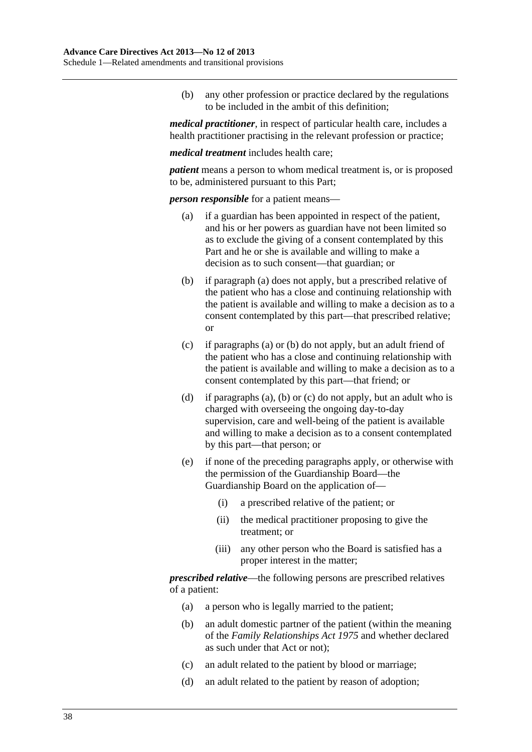<span id="page-37-0"></span> (b) any other profession or practice declared by the regulations to be included in the ambit of this definition;

*medical practitioner*, in respect of particular health care, includes a health practitioner practising in the relevant profession or practice;

*medical treatment* includes health care;

*patient* means a person to whom medical treatment is, or is proposed to be, administered pursuant to this Part;

*person responsible* for a patient means—

- (a) if a guardian has been appointed in respect of the patient, and his or her powers as guardian have not been limited so as to exclude the giving of a consent contemplated by this Part and he or she is available and willing to make a decision as to such consent—that guardian; or
- (b) if [paragraph \(a\)](#page-37-0) does not apply, but a prescribed relative of the patient who has a close and continuing relationship with the patient is available and willing to make a decision as to a consent contemplated by this part—that prescribed relative; or
- (c) if [paragraphs \(a\)](#page-37-0) or [\(b\)](#page-37-0) do not apply, but an adult friend of the patient who has a close and continuing relationship with the patient is available and willing to make a decision as to a consent contemplated by this part—that friend; or
- (d) if [paragraphs \(a\), \(b\)](#page-37-0) or [\(c\)](#page-37-0) do not apply, but an adult who is charged with overseeing the ongoing day-to-day supervision, care and well-being of the patient is available and willing to make a decision as to a consent contemplated by this part—that person; or
- (e) if none of the preceding paragraphs apply, or otherwise with the permission of the Guardianship Board—the Guardianship Board on the application of—
	- (i) a prescribed relative of the patient; or
	- (ii) the medical practitioner proposing to give the treatment; or
	- (iii) any other person who the Board is satisfied has a proper interest in the matter;

*prescribed relative*—the following persons are prescribed relatives of a patient:

- (a) a person who is legally married to the patient;
- (b) an adult domestic partner of the patient (within the meaning of the *[Family Relationships Act 1975](http://www.legislation.sa.gov.au/index.aspx?action=legref&type=act&legtitle=Family%20Relationships%20Act%201975)* and whether declared as such under that Act or not);
- (c) an adult related to the patient by blood or marriage;
- (d) an adult related to the patient by reason of adoption;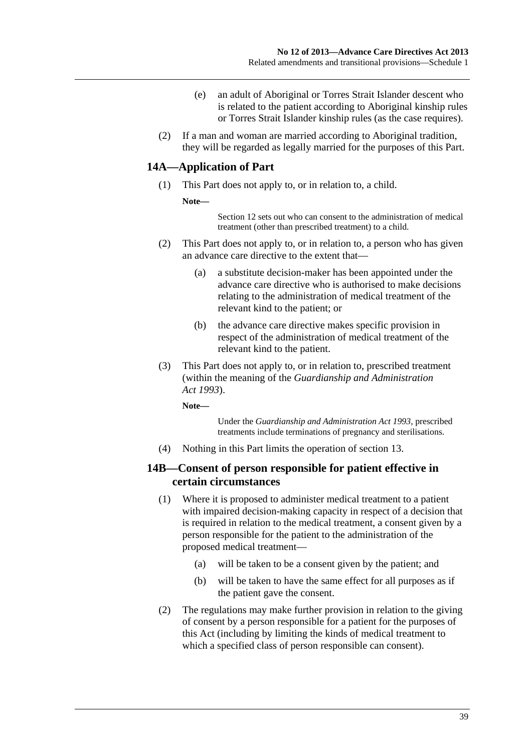- (e) an adult of Aboriginal or Torres Strait Islander descent who is related to the patient according to Aboriginal kinship rules or Torres Strait Islander kinship rules (as the case requires).
- (2) If a man and woman are married according to Aboriginal tradition, they will be regarded as legally married for the purposes of this Part.

### **14A—Application of Part**

- (1) This Part does not apply to, or in relation to, a child.
	- **Note—**

Section 12 sets out who can consent to the administration of medical treatment (other than prescribed treatment) to a child.

- (2) This Part does not apply to, or in relation to, a person who has given an advance care directive to the extent that—
	- (a) a substitute decision-maker has been appointed under the advance care directive who is authorised to make decisions relating to the administration of medical treatment of the relevant kind to the patient; or
	- (b) the advance care directive makes specific provision in respect of the administration of medical treatment of the relevant kind to the patient.
- (3) This Part does not apply to, or in relation to, prescribed treatment (within the meaning of the *[Guardianship and Administration](http://www.legislation.sa.gov.au/index.aspx?action=legref&type=act&legtitle=Guardianship%20and%20Administration%20Act%201993)  [Act 1993](http://www.legislation.sa.gov.au/index.aspx?action=legref&type=act&legtitle=Guardianship%20and%20Administration%20Act%201993)*).

**Note—** 

Under the *[Guardianship and Administration Act 1993](http://www.legislation.sa.gov.au/index.aspx?action=legref&type=act&legtitle=Guardianship%20and%20Administration%20Act%201993)*, prescribed treatments include terminations of pregnancy and sterilisations.

(4) Nothing in this Part limits the operation of section 13.

### **14B—Consent of person responsible for patient effective in certain circumstances**

- (1) Where it is proposed to administer medical treatment to a patient with impaired decision-making capacity in respect of a decision that is required in relation to the medical treatment, a consent given by a person responsible for the patient to the administration of the proposed medical treatment—
	- (a) will be taken to be a consent given by the patient; and
	- (b) will be taken to have the same effect for all purposes as if the patient gave the consent.
- (2) The regulations may make further provision in relation to the giving of consent by a person responsible for a patient for the purposes of this Act (including by limiting the kinds of medical treatment to which a specified class of person responsible can consent).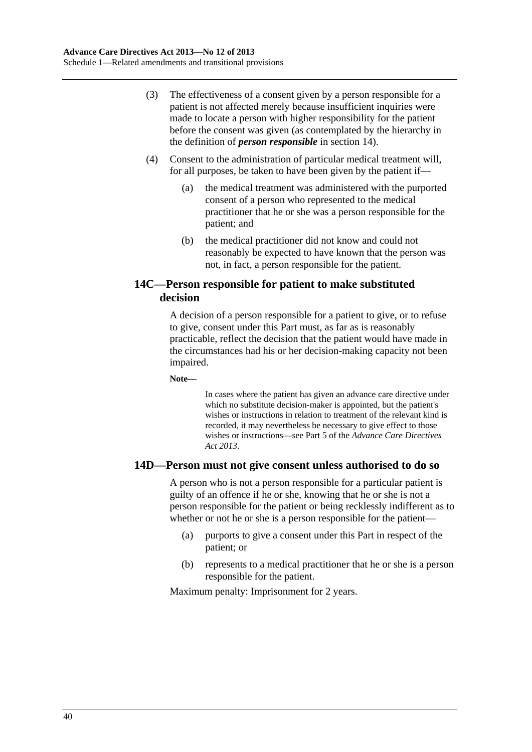- (3) The effectiveness of a consent given by a person responsible for a patient is not affected merely because insufficient inquiries were made to locate a person with higher responsibility for the patient before the consent was given (as contemplated by the hierarchy in the definition of *person responsible* in [section 14](#page-0-0)).
- (4) Consent to the administration of particular medical treatment will, for all purposes, be taken to have been given by the patient if—
	- (a) the medical treatment was administered with the purported consent of a person who represented to the medical practitioner that he or she was a person responsible for the patient; and
	- (b) the medical practitioner did not know and could not reasonably be expected to have known that the person was not, in fact, a person responsible for the patient.

### **14C—Person responsible for patient to make substituted decision**

A decision of a person responsible for a patient to give, or to refuse to give, consent under this Part must, as far as is reasonably practicable, reflect the decision that the patient would have made in the circumstances had his or her decision-making capacity not been impaired.

**Note—** 

In cases where the patient has given an advance care directive under which no substitute decision-maker is appointed, but the patient's wishes or instructions in relation to treatment of the relevant kind is recorded, it may nevertheless be necessary to give effect to those wishes or instructions—see Part 5 of the *[Advance Care Directives](http://www.legislation.sa.gov.au/index.aspx?action=legref&type=act&legtitle=Advance%20Care%20Directives%20Act%202013)  [Act 2013](http://www.legislation.sa.gov.au/index.aspx?action=legref&type=act&legtitle=Advance%20Care%20Directives%20Act%202013)*.

### **14D—Person must not give consent unless authorised to do so**

A person who is not a person responsible for a particular patient is guilty of an offence if he or she, knowing that he or she is not a person responsible for the patient or being recklessly indifferent as to whether or not he or she is a person responsible for the patient—

- (a) purports to give a consent under this Part in respect of the patient; or
- (b) represents to a medical practitioner that he or she is a person responsible for the patient.

Maximum penalty: Imprisonment for 2 years.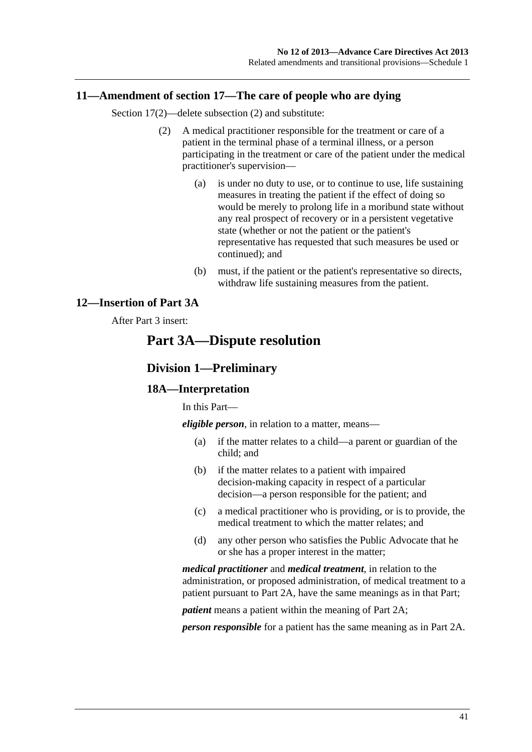### <span id="page-40-0"></span>**11—Amendment of section 17—The care of people who are dying**

Section 17(2)—delete subsection (2) and substitute:

- (2) A medical practitioner responsible for the treatment or care of a patient in the terminal phase of a terminal illness, or a person participating in the treatment or care of the patient under the medical practitioner's supervision—
	- (a) is under no duty to use, or to continue to use, life sustaining measures in treating the patient if the effect of doing so would be merely to prolong life in a moribund state without any real prospect of recovery or in a persistent vegetative state (whether or not the patient or the patient's representative has requested that such measures be used or continued); and
	- (b) must, if the patient or the patient's representative so directs, withdraw life sustaining measures from the patient.

### **12—Insertion of Part 3A**

### After Part 3 insert:

## **Part 3A—Dispute resolution**

#### **Division 1—Preliminary**

#### **18A—Interpretation**

In this Part—

*eligible person*, in relation to a matter, means—

- (a) if the matter relates to a child—a parent or guardian of the child; and
- (b) if the matter relates to a patient with impaired decision-making capacity in respect of a particular decision—a person responsible for the patient; and
- (c) a medical practitioner who is providing, or is to provide, the medical treatment to which the matter relates; and
- (d) any other person who satisfies the Public Advocate that he or she has a proper interest in the matter;

*medical practitioner* and *medical treatment*, in relation to the administration, or proposed administration, of medical treatment to a patient pursuant to Part 2A, have the same meanings as in that Part;

*patient* means a patient within the meaning of Part 2A;

*person responsible* for a patient has the same meaning as in Part 2A.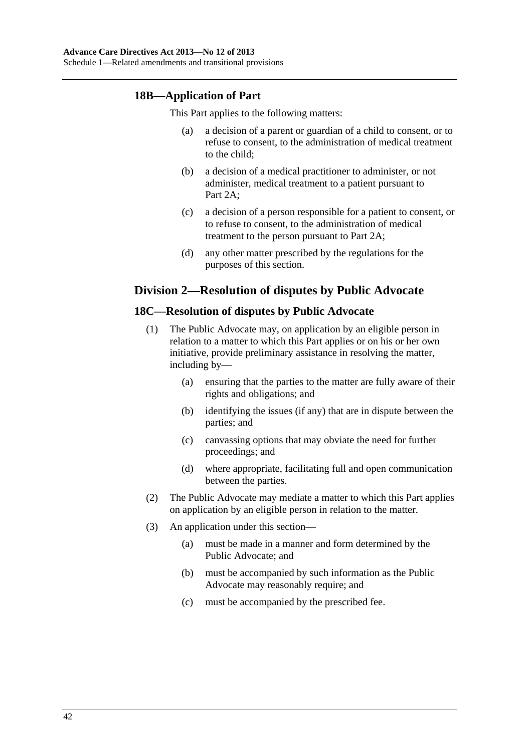### **18B—Application of Part**

This Part applies to the following matters:

- (a) a decision of a parent or guardian of a child to consent, or to refuse to consent, to the administration of medical treatment to the child;
- (b) a decision of a medical practitioner to administer, or not administer, medical treatment to a patient pursuant to Part 2A;
- (c) a decision of a person responsible for a patient to consent, or to refuse to consent, to the administration of medical treatment to the person pursuant to Part 2A;
- (d) any other matter prescribed by the regulations for the purposes of this section.

### **Division 2—Resolution of disputes by Public Advocate**

### **18C—Resolution of disputes by Public Advocate**

- (1) The Public Advocate may, on application by an eligible person in relation to a matter to which this Part applies or on his or her own initiative, provide preliminary assistance in resolving the matter, including by—
	- (a) ensuring that the parties to the matter are fully aware of their rights and obligations; and
	- (b) identifying the issues (if any) that are in dispute between the parties; and
	- (c) canvassing options that may obviate the need for further proceedings; and
	- (d) where appropriate, facilitating full and open communication between the parties.
- (2) The Public Advocate may mediate a matter to which this Part applies on application by an eligible person in relation to the matter.
- (3) An application under this section—
	- (a) must be made in a manner and form determined by the Public Advocate; and
	- (b) must be accompanied by such information as the Public Advocate may reasonably require; and
	- (c) must be accompanied by the prescribed fee.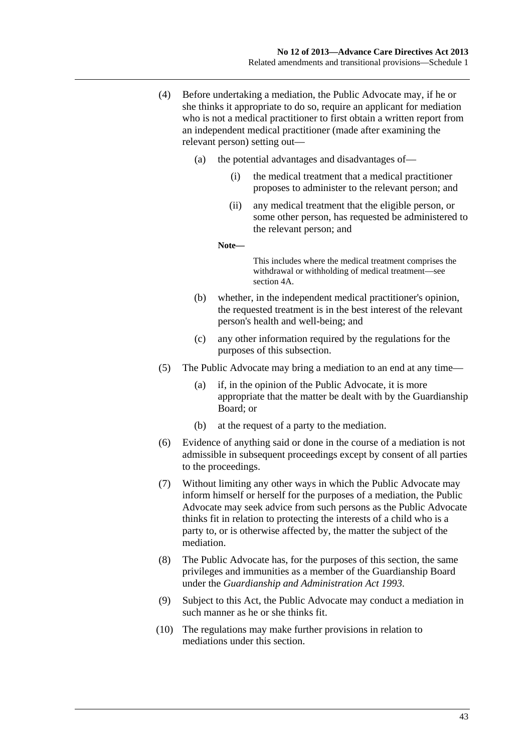- (4) Before undertaking a mediation, the Public Advocate may, if he or she thinks it appropriate to do so, require an applicant for mediation who is not a medical practitioner to first obtain a written report from an independent medical practitioner (made after examining the relevant person) setting out—
	- (a) the potential advantages and disadvantages of—
		- (i) the medical treatment that a medical practitioner proposes to administer to the relevant person; and
		- (ii) any medical treatment that the eligible person, or some other person, has requested be administered to the relevant person; and

**Note—** 

This includes where the medical treatment comprises the withdrawal or withholding of medical treatment—see section 4A.

- (b) whether, in the independent medical practitioner's opinion, the requested treatment is in the best interest of the relevant person's health and well-being; and
- (c) any other information required by the regulations for the purposes of this subsection.
- (5) The Public Advocate may bring a mediation to an end at any time—
	- (a) if, in the opinion of the Public Advocate, it is more appropriate that the matter be dealt with by the Guardianship Board; or
	- (b) at the request of a party to the mediation.
- (6) Evidence of anything said or done in the course of a mediation is not admissible in subsequent proceedings except by consent of all parties to the proceedings.
- (7) Without limiting any other ways in which the Public Advocate may inform himself or herself for the purposes of a mediation, the Public Advocate may seek advice from such persons as the Public Advocate thinks fit in relation to protecting the interests of a child who is a party to, or is otherwise affected by, the matter the subject of the mediation.
- (8) The Public Advocate has, for the purposes of this section, the same privileges and immunities as a member of the Guardianship Board under the *[Guardianship and Administration Act 1993](http://www.legislation.sa.gov.au/index.aspx?action=legref&type=act&legtitle=Guardianship%20and%20Administration%20Act%201993)*.
- (9) Subject to this Act, the Public Advocate may conduct a mediation in such manner as he or she thinks fit.
- (10) The regulations may make further provisions in relation to mediations under this section.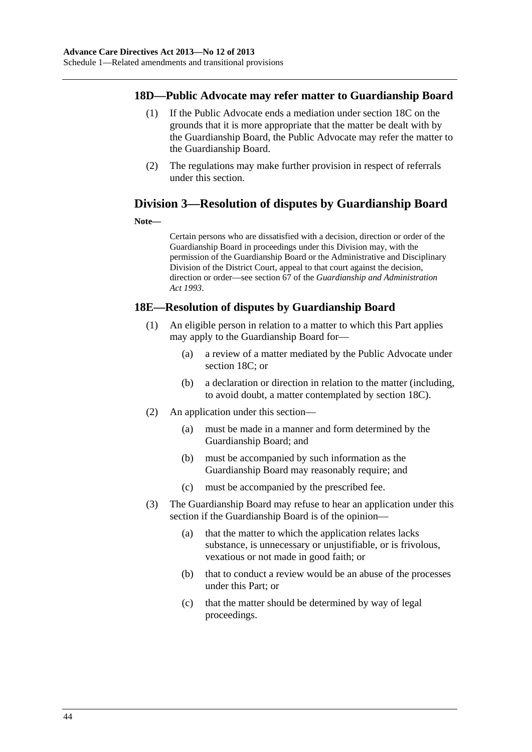### **18D—Public Advocate may refer matter to Guardianship Board**

- (1) If the Public Advocate ends a mediation under [section 18C](#page-0-0) on the grounds that it is more appropriate that the matter be dealt with by the Guardianship Board, the Public Advocate may refer the matter to the Guardianship Board.
- (2) The regulations may make further provision in respect of referrals under this section.

## **Division 3—Resolution of disputes by Guardianship Board**

#### **Note—**

Certain persons who are dissatisfied with a decision, direction or order of the Guardianship Board in proceedings under this Division may, with the permission of the Guardianship Board or the Administrative and Disciplinary Division of the District Court, appeal to that court against the decision, direction or order—see section 67 of the *[Guardianship and Administration](http://www.legislation.sa.gov.au/index.aspx?action=legref&type=act&legtitle=Guardianship%20and%20Administration%20Act%201993)  [Act 1993](http://www.legislation.sa.gov.au/index.aspx?action=legref&type=act&legtitle=Guardianship%20and%20Administration%20Act%201993)*.

### **18E—Resolution of disputes by Guardianship Board**

- (1) An eligible person in relation to a matter to which this Part applies may apply to the Guardianship Board for—
	- (a) a review of a matter mediated by the Public Advocate under [section 18C](#page-0-0); or
	- (b) a declaration or direction in relation to the matter (including, to avoid doubt, a matter contemplated by [section 18C\)](#page-0-0).
- (2) An application under this section—
	- (a) must be made in a manner and form determined by the Guardianship Board; and
	- (b) must be accompanied by such information as the Guardianship Board may reasonably require; and
	- (c) must be accompanied by the prescribed fee.
- (3) The Guardianship Board may refuse to hear an application under this section if the Guardianship Board is of the opinion—
	- (a) that the matter to which the application relates lacks substance, is unnecessary or unjustifiable, or is frivolous, vexatious or not made in good faith; or
	- (b) that to conduct a review would be an abuse of the processes under this Part; or
	- (c) that the matter should be determined by way of legal proceedings.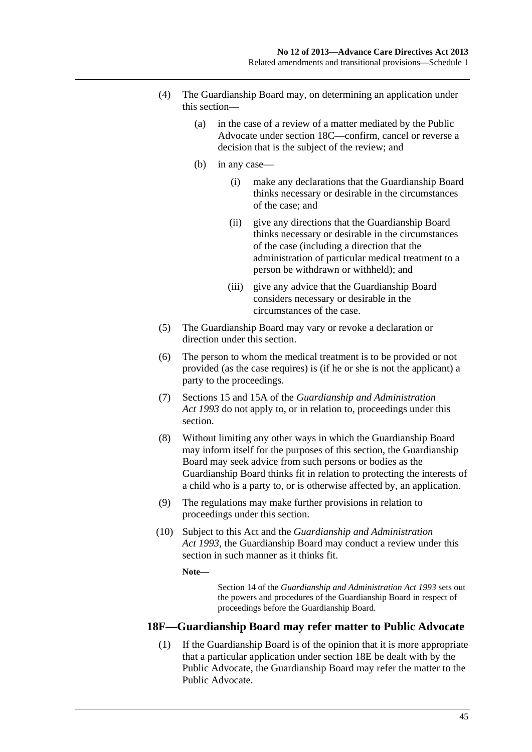- (4) The Guardianship Board may, on determining an application under this section—
	- (a) in the case of a review of a matter mediated by the Public Advocate under [section 18C—](#page-0-0)confirm, cancel or reverse a decision that is the subject of the review; and
	- (b) in any case—
		- (i) make any declarations that the Guardianship Board thinks necessary or desirable in the circumstances of the case; and
		- (ii) give any directions that the Guardianship Board thinks necessary or desirable in the circumstances of the case (including a direction that the administration of particular medical treatment to a person be withdrawn or withheld); and
		- (iii) give any advice that the Guardianship Board considers necessary or desirable in the circumstances of the case.
- (5) The Guardianship Board may vary or revoke a declaration or direction under this section.
- (6) The person to whom the medical treatment is to be provided or not provided (as the case requires) is (if he or she is not the applicant) a party to the proceedings.
- (7) Sections 15 and 15A of the *[Guardianship and Administration](http://www.legislation.sa.gov.au/index.aspx?action=legref&type=act&legtitle=Guardianship%20and%20Administration%20Act%201993)  [Act 1993](http://www.legislation.sa.gov.au/index.aspx?action=legref&type=act&legtitle=Guardianship%20and%20Administration%20Act%201993)* do not apply to, or in relation to, proceedings under this section.
- (8) Without limiting any other ways in which the Guardianship Board may inform itself for the purposes of this section, the Guardianship Board may seek advice from such persons or bodies as the Guardianship Board thinks fit in relation to protecting the interests of a child who is a party to, or is otherwise affected by, an application.
- (9) The regulations may make further provisions in relation to proceedings under this section.
- (10) Subject to this Act and the *[Guardianship and Administration](http://www.legislation.sa.gov.au/index.aspx?action=legref&type=act&legtitle=Guardianship%20and%20Administration%20Act%201993)  [Act 1993](http://www.legislation.sa.gov.au/index.aspx?action=legref&type=act&legtitle=Guardianship%20and%20Administration%20Act%201993)*, the Guardianship Board may conduct a review under this section in such manner as it thinks fit.

**Note—** 

Section 14 of the *[Guardianship and Administration Act 1993](http://www.legislation.sa.gov.au/index.aspx?action=legref&type=act&legtitle=Guardianship%20and%20Administration%20Act%201993)* sets out the powers and procedures of the Guardianship Board in respect of proceedings before the Guardianship Board.

### **18F—Guardianship Board may refer matter to Public Advocate**

 (1) If the Guardianship Board is of the opinion that it is more appropriate that a particular application under [section 18E](#page-0-0) be dealt with by the Public Advocate, the Guardianship Board may refer the matter to the Public Advocate.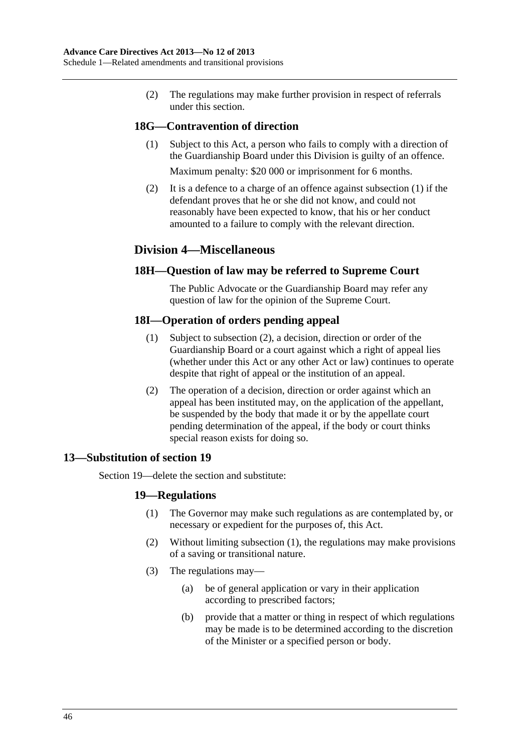<span id="page-45-0"></span> (2) The regulations may make further provision in respect of referrals under this section.

### **18G—Contravention of direction**

 (1) Subject to this Act, a person who fails to comply with a direction of the Guardianship Board under this Division is guilty of an offence.

Maximum penalty: \$20 000 or imprisonment for 6 months.

 (2) It is a defence to a charge of an offence against [subsection \(1\)](#page-45-0) if the defendant proves that he or she did not know, and could not reasonably have been expected to know, that his or her conduct amounted to a failure to comply with the relevant direction.

### **Division 4—Miscellaneous**

### **18H—Question of law may be referred to Supreme Court**

The Public Advocate or the Guardianship Board may refer any question of law for the opinion of the Supreme Court.

### **18I—Operation of orders pending appeal**

- (1) Subject to [subsection \(2\)](#page-45-0), a decision, direction or order of the Guardianship Board or a court against which a right of appeal lies (whether under this Act or any other Act or law) continues to operate despite that right of appeal or the institution of an appeal.
- (2) The operation of a decision, direction or order against which an appeal has been instituted may, on the application of the appellant, be suspended by the body that made it or by the appellate court pending determination of the appeal, if the body or court thinks special reason exists for doing so.

### **13—Substitution of section 19**

Section 19—delete the section and substitute:

### **19—Regulations**

- (1) The Governor may make such regulations as are contemplated by, or necessary or expedient for the purposes of, this Act.
- (2) Without limiting [subsection \(1\),](#page-45-0) the regulations may make provisions of a saving or transitional nature.
- (3) The regulations may—
	- (a) be of general application or vary in their application according to prescribed factors;
	- (b) provide that a matter or thing in respect of which regulations may be made is to be determined according to the discretion of the Minister or a specified person or body.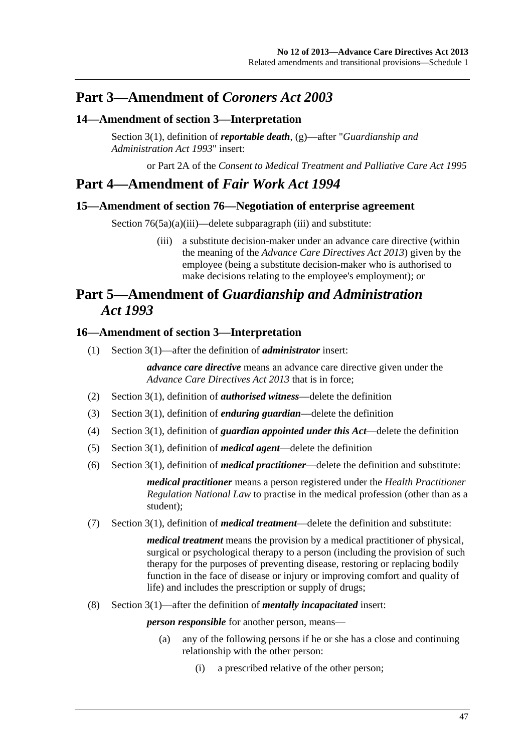# <span id="page-46-0"></span>**Part 3—Amendment of** *Coroners Act 2003*

### **14—Amendment of section 3—Interpretation**

Section 3(1), definition of *reportable death*, (g)—after "*[Guardianship and](http://www.legislation.sa.gov.au/index.aspx?action=legref&type=act&legtitle=Guardianship%20and%20Administration%20Act%201993)  [Administration Act 1993](http://www.legislation.sa.gov.au/index.aspx?action=legref&type=act&legtitle=Guardianship%20and%20Administration%20Act%201993)*" insert:

or Part 2A of the *[Consent to Medical Treatment and Palliative Care Act 1995](http://www.legislation.sa.gov.au/index.aspx?action=legref&type=act&legtitle=Consent%20to%20Medical%20Treatment%20and%20Palliative%20Care%20Act%201995)*

# **Part 4—Amendment of** *Fair Work Act 1994*

### **15—Amendment of section 76—Negotiation of enterprise agreement**

Section 76(5a)(a)(iii)—delete subparagraph (iii) and substitute:

 (iii) a substitute decision-maker under an advance care directive (within the meaning of the *[Advance Care Directives Act 2013](http://www.legislation.sa.gov.au/index.aspx?action=legref&type=act&legtitle=Advance%20Care%20Directives%20Act%202013)*) given by the employee (being a substitute decision-maker who is authorised to make decisions relating to the employee's employment); or

# **Part 5—Amendment of** *Guardianship and Administration Act 1993*

### **16—Amendment of section 3—Interpretation**

(1) Section 3(1)—after the definition of *administrator* insert:

*advance care directive* means an advance care directive given under the *[Advance Care Directives Act 2013](http://www.legislation.sa.gov.au/index.aspx?action=legref&type=act&legtitle=Advance%20Care%20Directives%20Act%202013)* that is in force;

- (2) Section 3(1), definition of *authorised witness*—delete the definition
- (3) Section 3(1), definition of *enduring guardian*—delete the definition
- (4) Section 3(1), definition of *guardian appointed under this Act*—delete the definition
- (5) Section 3(1), definition of *medical agent*—delete the definition
- (6) Section 3(1), definition of *medical practitioner*—delete the definition and substitute:

*medical practitioner* means a person registered under the *Health Practitioner Regulation National Law* to practise in the medical profession (other than as a student);

(7) Section 3(1), definition of *medical treatment*—delete the definition and substitute:

*medical treatment* means the provision by a medical practitioner of physical, surgical or psychological therapy to a person (including the provision of such therapy for the purposes of preventing disease, restoring or replacing bodily function in the face of disease or injury or improving comfort and quality of life) and includes the prescription or supply of drugs;

(8) Section 3(1)—after the definition of *mentally incapacitated* insert:

*person responsible* for another person, means—

- (a) any of the following persons if he or she has a close and continuing relationship with the other person:
	- (i) a prescribed relative of the other person;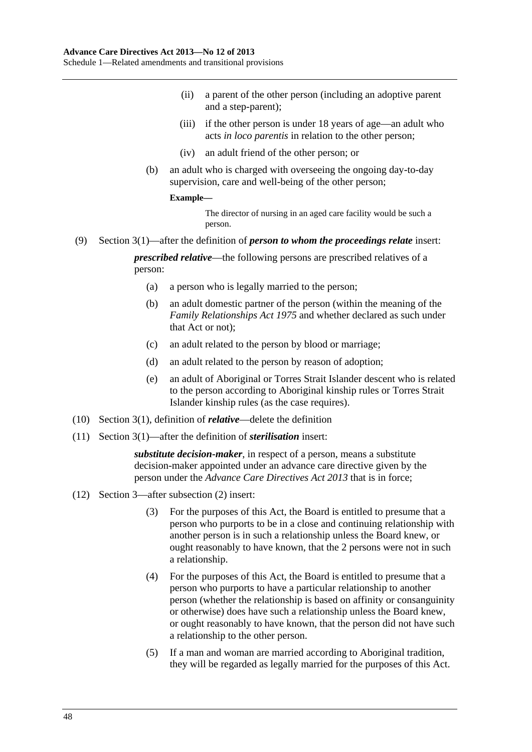- (ii) a parent of the other person (including an adoptive parent and a step-parent);
- (iii) if the other person is under 18 years of age—an adult who acts *in loco parentis* in relation to the other person;
- (iv) an adult friend of the other person; or
- (b) an adult who is charged with overseeing the ongoing day-to-day supervision, care and well-being of the other person;

#### **Example—**

The director of nursing in an aged care facility would be such a person.

(9) Section 3(1)—after the definition of *person to whom the proceedings relate* insert:

*prescribed relative*—the following persons are prescribed relatives of a person:

- (a) a person who is legally married to the person;
- (b) an adult domestic partner of the person (within the meaning of the *[Family Relationships Act 1975](http://www.legislation.sa.gov.au/index.aspx?action=legref&type=act&legtitle=Family%20Relationships%20Act%201975)* and whether declared as such under that Act or not);
- (c) an adult related to the person by blood or marriage;
- (d) an adult related to the person by reason of adoption;
- (e) an adult of Aboriginal or Torres Strait Islander descent who is related to the person according to Aboriginal kinship rules or Torres Strait Islander kinship rules (as the case requires).
- (10) Section 3(1), definition of *relative*—delete the definition
- (11) Section 3(1)—after the definition of *sterilisation* insert:

*substitute decision-maker*, in respect of a person, means a substitute decision-maker appointed under an advance care directive given by the person under the *[Advance Care Directives Act 2013](http://www.legislation.sa.gov.au/index.aspx?action=legref&type=act&legtitle=Advance%20Care%20Directives%20Act%202013)* that is in force;

- (12) Section 3—after subsection (2) insert:
	- (3) For the purposes of this Act, the Board is entitled to presume that a person who purports to be in a close and continuing relationship with another person is in such a relationship unless the Board knew, or ought reasonably to have known, that the 2 persons were not in such a relationship.
	- (4) For the purposes of this Act, the Board is entitled to presume that a person who purports to have a particular relationship to another person (whether the relationship is based on affinity or consanguinity or otherwise) does have such a relationship unless the Board knew, or ought reasonably to have known, that the person did not have such a relationship to the other person.
	- (5) If a man and woman are married according to Aboriginal tradition, they will be regarded as legally married for the purposes of this Act.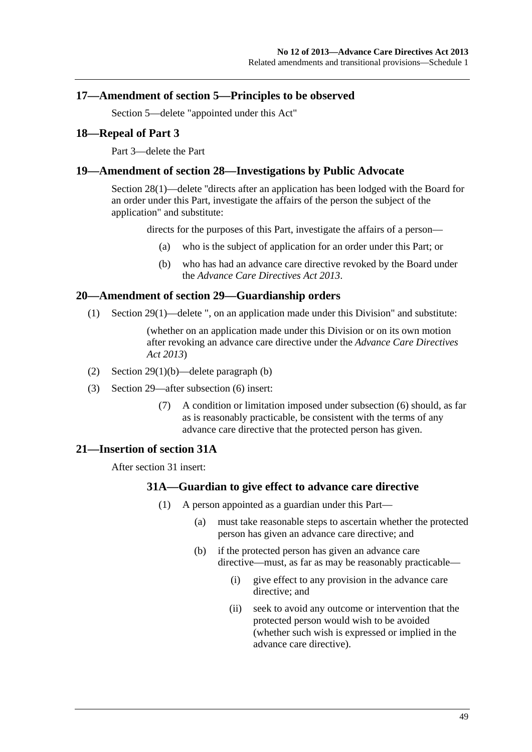### <span id="page-48-0"></span>**17—Amendment of section 5—Principles to be observed**

Section 5—delete "appointed under this Act"

#### **18—Repeal of Part 3**

Part 3—delete the Part

#### **19—Amendment of section 28—Investigations by Public Advocate**

Section 28(1)—delete ''directs after an application has been lodged with the Board for an order under this Part, investigate the affairs of the person the subject of the application" and substitute:

directs for the purposes of this Part, investigate the affairs of a person—

- (a) who is the subject of application for an order under this Part; or
- (b) who has had an advance care directive revoked by the Board under the *[Advance Care Directives Act 2013](http://www.legislation.sa.gov.au/index.aspx?action=legref&type=act&legtitle=Advance%20Care%20Directives%20Act%202013)*.

### **20—Amendment of section 29—Guardianship orders**

(1) Section 29(1)—delete ", on an application made under this Division" and substitute:

(whether on an application made under this Division or on its own motion after revoking an advance care directive under the *[Advance Care Directives](http://www.legislation.sa.gov.au/index.aspx?action=legref&type=act&legtitle=Advance%20Care%20Directives%20Act%202013)  [Act 2013](http://www.legislation.sa.gov.au/index.aspx?action=legref&type=act&legtitle=Advance%20Care%20Directives%20Act%202013)*)

- (2) Section 29(1)(b)—delete paragraph (b)
- (3) Section 29—after subsection (6) insert:
	- (7) A condition or limitation imposed under subsection (6) should, as far as is reasonably practicable, be consistent with the terms of any advance care directive that the protected person has given.

#### **21—Insertion of section 31A**

After section 31 insert:

#### **31A—Guardian to give effect to advance care directive**

- (1) A person appointed as a guardian under this Part—
	- (a) must take reasonable steps to ascertain whether the protected person has given an advance care directive; and
	- (b) if the protected person has given an advance care directive—must, as far as may be reasonably practicable—
		- (i) give effect to any provision in the advance care directive; and
		- (ii) seek to avoid any outcome or intervention that the protected person would wish to be avoided (whether such wish is expressed or implied in the advance care directive).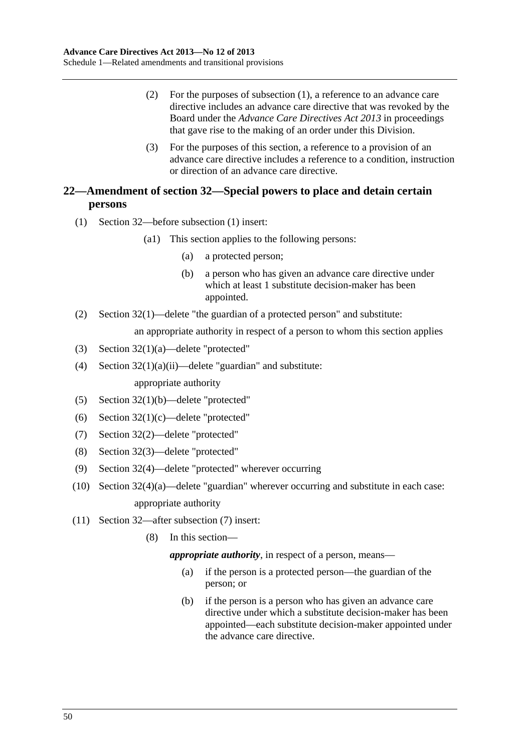- <span id="page-49-0"></span> (2) For the purposes of [subsection \(1\),](#page-48-0) a reference to an advance care directive includes an advance care directive that was revoked by the Board under the *[Advance Care Directives Act 2013](http://www.legislation.sa.gov.au/index.aspx?action=legref&type=act&legtitle=Advance%20Care%20Directives%20Act%202013)* in proceedings that gave rise to the making of an order under this Division.
- (3) For the purposes of this section, a reference to a provision of an advance care directive includes a reference to a condition, instruction or direction of an advance care directive.

### **22—Amendment of section 32—Special powers to place and detain certain persons**

- (1) Section 32—before subsection (1) insert:
	- (a1) This section applies to the following persons:
		- (a) a protected person;
		- (b) a person who has given an advance care directive under which at least 1 substitute decision-maker has been appointed.
- (2) Section 32(1)—delete "the guardian of a protected person" and substitute:

an appropriate authority in respect of a person to whom this section applies

- (3) Section 32(1)(a)—delete "protected"
- (4) Section  $32(1)(a)(ii)$ —delete "guardian" and substitute: appropriate authority
- (5) Section 32(1)(b)—delete "protected"
- (6) Section 32(1)(c)—delete "protected"
- (7) Section 32(2)—delete "protected"
- (8) Section 32(3)—delete "protected"
- (9) Section 32(4)—delete "protected" wherever occurring
- (10) Section 32(4)(a)—delete "guardian" wherever occurring and substitute in each case: appropriate authority
- (11) Section 32—after subsection (7) insert:
	- (8) In this section—

*appropriate authority*, in respect of a person, means—

- (a) if the person is a protected person—the guardian of the person; or
- (b) if the person is a person who has given an advance care directive under which a substitute decision-maker has been appointed—each substitute decision-maker appointed under the advance care directive.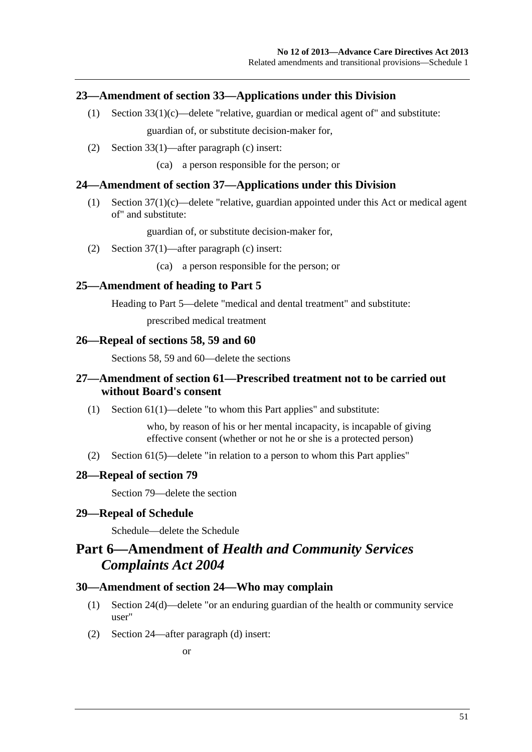### <span id="page-50-0"></span>**23—Amendment of section 33—Applications under this Division**

- (1) Section 33(1)(c)—delete "relative, guardian or medical agent of" and substitute: guardian of, or substitute decision-maker for,
- (2) Section 33(1)—after paragraph (c) insert:

(ca) a person responsible for the person; or

### **24—Amendment of section 37—Applications under this Division**

 (1) Section 37(1)(c)—delete "relative, guardian appointed under this Act or medical agent of" and substitute:

guardian of, or substitute decision-maker for,

(2) Section 37(1)—after paragraph (c) insert:

(ca) a person responsible for the person; or

#### **25—Amendment of heading to Part 5**

Heading to Part 5—delete "medical and dental treatment" and substitute:

prescribed medical treatment

#### **26—Repeal of sections 58, 59 and 60**

Sections 58, 59 and 60—delete the sections

### **27—Amendment of section 61—Prescribed treatment not to be carried out without Board's consent**

(1) Section 61(1)—delete "to whom this Part applies" and substitute:

who, by reason of his or her mental incapacity, is incapable of giving effective consent (whether or not he or she is a protected person)

(2) Section 61(5)—delete "in relation to a person to whom this Part applies"

#### **28—Repeal of section 79**

Section 79—delete the section

#### **29—Repeal of Schedule**

Schedule—delete the Schedule

# **Part 6—Amendment of** *Health and Community Services Complaints Act 2004*

#### **30—Amendment of section 24—Who may complain**

- (1) Section 24(d)—delete "or an enduring guardian of the health or community service user"
- (2) Section 24—after paragraph (d) insert: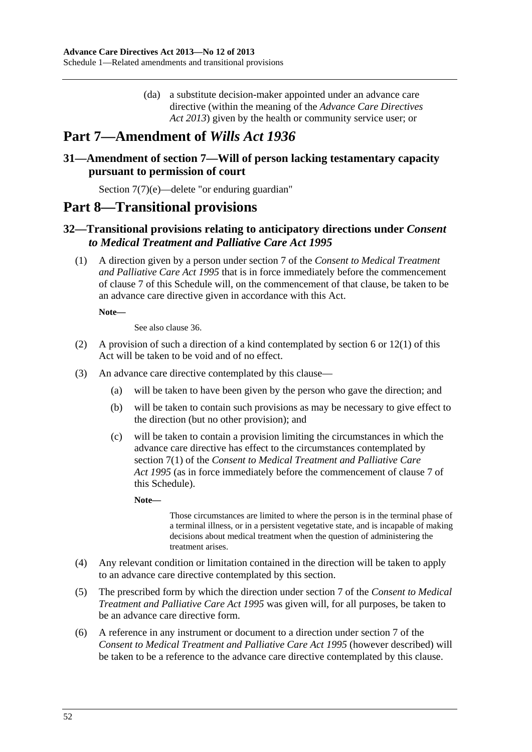(da) a substitute decision-maker appointed under an advance care directive (within the meaning of the *[Advance Care Directives](http://www.legislation.sa.gov.au/index.aspx?action=legref&type=act&legtitle=Advance%20Care%20Directives%20Act%202013)  [Act 2013](http://www.legislation.sa.gov.au/index.aspx?action=legref&type=act&legtitle=Advance%20Care%20Directives%20Act%202013)*) given by the health or community service user; or

# <span id="page-51-0"></span>**Part 7—Amendment of** *Wills Act 1936*

### **31—Amendment of section 7—Will of person lacking testamentary capacity pursuant to permission of court**

Section 7(7)(e)—delete "or enduring guardian"

## **Part 8—Transitional provisions**

### **32—Transitional provisions relating to anticipatory directions under** *Consent to Medical Treatment and Palliative Care Act 1995*

 (1) A direction given by a person under section 7 of the *[Consent to Medical Treatment](http://www.legislation.sa.gov.au/index.aspx?action=legref&type=act&legtitle=Consent%20to%20Medical%20Treatment%20and%20Palliative%20Care%20Act%201995)  [and Palliative Care Act 1995](http://www.legislation.sa.gov.au/index.aspx?action=legref&type=act&legtitle=Consent%20to%20Medical%20Treatment%20and%20Palliative%20Care%20Act%201995)* that is in force immediately before the commencement of [clause 7](#page-34-0) of this Schedule will, on the commencement of that clause, be taken to be an advance care directive given in accordance with this Act.

**Note—** 

See also [clause 36](#page-54-0).

- (2) A provision of such a direction of a kind contemplated by [section 6](#page-5-0) or [12\(1\)](#page-10-0) of this Act will be taken to be void and of no effect.
- (3) An advance care directive contemplated by this clause—
	- (a) will be taken to have been given by the person who gave the direction; and
	- (b) will be taken to contain such provisions as may be necessary to give effect to the direction (but no other provision); and
	- (c) will be taken to contain a provision limiting the circumstances in which the advance care directive has effect to the circumstances contemplated by section 7(1) of the *[Consent to Medical Treatment and Palliative Care](http://www.legislation.sa.gov.au/index.aspx?action=legref&type=act&legtitle=Consent%20to%20Medical%20Treatment%20and%20Palliative%20Care%20Act%201995)  [Act 1995](http://www.legislation.sa.gov.au/index.aspx?action=legref&type=act&legtitle=Consent%20to%20Medical%20Treatment%20and%20Palliative%20Care%20Act%201995)* (as in force immediately before the commencement of [clause 7](#page-34-0) of this Schedule).

**Note—** 

Those circumstances are limited to where the person is in the terminal phase of a terminal illness, or in a persistent vegetative state, and is incapable of making decisions about medical treatment when the question of administering the treatment arises.

- (4) Any relevant condition or limitation contained in the direction will be taken to apply to an advance care directive contemplated by this section.
- (5) The prescribed form by which the direction under section 7 of the *[Consent to Medical](http://www.legislation.sa.gov.au/index.aspx?action=legref&type=act&legtitle=Consent%20to%20Medical%20Treatment%20and%20Palliative%20Care%20Act%201995)  [Treatment and Palliative Care Act 1995](http://www.legislation.sa.gov.au/index.aspx?action=legref&type=act&legtitle=Consent%20to%20Medical%20Treatment%20and%20Palliative%20Care%20Act%201995)* was given will, for all purposes, be taken to be an advance care directive form.
- (6) A reference in any instrument or document to a direction under section 7 of the *[Consent to Medical Treatment and Palliative Care Act 1995](http://www.legislation.sa.gov.au/index.aspx?action=legref&type=act&legtitle=Consent%20to%20Medical%20Treatment%20and%20Palliative%20Care%20Act%201995)* (however described) will be taken to be a reference to the advance care directive contemplated by this clause.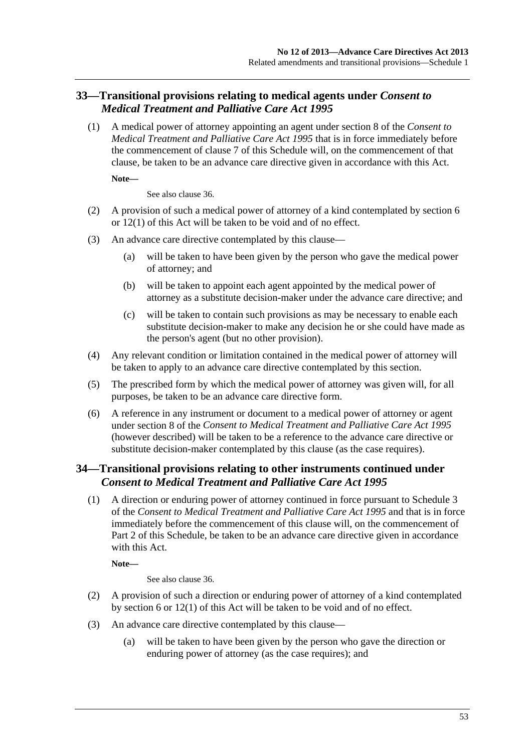### <span id="page-52-0"></span>**33—Transitional provisions relating to medical agents under** *Consent to Medical Treatment and Palliative Care Act 1995*

 (1) A medical power of attorney appointing an agent under section 8 of the *[Consent to](http://www.legislation.sa.gov.au/index.aspx?action=legref&type=act&legtitle=Consent%20to%20Medical%20Treatment%20and%20Palliative%20Care%20Act%201995)  [Medical Treatment and Palliative Care Act 1995](http://www.legislation.sa.gov.au/index.aspx?action=legref&type=act&legtitle=Consent%20to%20Medical%20Treatment%20and%20Palliative%20Care%20Act%201995)* that is in force immediately before the commencement of [clause 7](#page-34-0) of this Schedule will, on the commencement of that clause, be taken to be an advance care directive given in accordance with this Act.

**Note—** 

See also [clause 36.](#page-54-0)

- (2) A provision of such a medical power of attorney of a kind contemplated by [section 6](#page-5-0)  or [12\(1\)](#page-10-0) of this Act will be taken to be void and of no effect.
- (3) An advance care directive contemplated by this clause—
	- (a) will be taken to have been given by the person who gave the medical power of attorney; and
	- (b) will be taken to appoint each agent appointed by the medical power of attorney as a substitute decision-maker under the advance care directive; and
	- (c) will be taken to contain such provisions as may be necessary to enable each substitute decision-maker to make any decision he or she could have made as the person's agent (but no other provision).
- (4) Any relevant condition or limitation contained in the medical power of attorney will be taken to apply to an advance care directive contemplated by this section.
- (5) The prescribed form by which the medical power of attorney was given will, for all purposes, be taken to be an advance care directive form.
- (6) A reference in any instrument or document to a medical power of attorney or agent under section 8 of the *[Consent to Medical Treatment and Palliative Care Act 1995](http://www.legislation.sa.gov.au/index.aspx?action=legref&type=act&legtitle=Consent%20to%20Medical%20Treatment%20and%20Palliative%20Care%20Act%201995)* (however described) will be taken to be a reference to the advance care directive or substitute decision-maker contemplated by this clause (as the case requires).

### **34—Transitional provisions relating to other instruments continued under**  *Consent to Medical Treatment and Palliative Care Act 1995*

 (1) A direction or enduring power of attorney continued in force pursuant to Schedule 3 of the *[Consent to Medical Treatment and Palliative Care Act 1995](http://www.legislation.sa.gov.au/index.aspx?action=legref&type=act&legtitle=Consent%20to%20Medical%20Treatment%20and%20Palliative%20Care%20Act%201995)* and that is in force immediately before the commencement of this clause will, on the commencement of [Part 2](#page-0-0) of this Schedule, be taken to be an advance care directive given in accordance with this Act.

**Note—** 

See also [clause 36.](#page-54-0)

- (2) A provision of such a direction or enduring power of attorney of a kind contemplated by [section 6](#page-5-0) or [12\(1\)](#page-10-0) of this Act will be taken to be void and of no effect.
- (3) An advance care directive contemplated by this clause—
	- (a) will be taken to have been given by the person who gave the direction or enduring power of attorney (as the case requires); and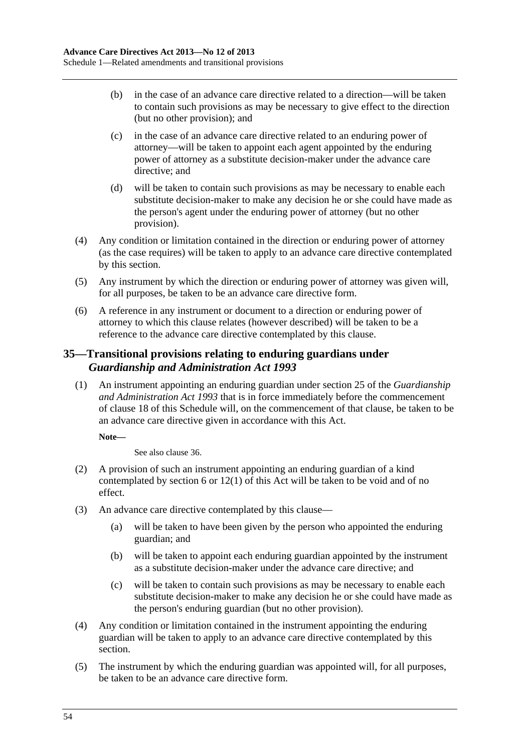- <span id="page-53-0"></span> (b) in the case of an advance care directive related to a direction—will be taken to contain such provisions as may be necessary to give effect to the direction (but no other provision); and
- (c) in the case of an advance care directive related to an enduring power of attorney—will be taken to appoint each agent appointed by the enduring power of attorney as a substitute decision-maker under the advance care directive; and
- (d) will be taken to contain such provisions as may be necessary to enable each substitute decision-maker to make any decision he or she could have made as the person's agent under the enduring power of attorney (but no other provision).
- (4) Any condition or limitation contained in the direction or enduring power of attorney (as the case requires) will be taken to apply to an advance care directive contemplated by this section.
- (5) Any instrument by which the direction or enduring power of attorney was given will, for all purposes, be taken to be an advance care directive form.
- (6) A reference in any instrument or document to a direction or enduring power of attorney to which this clause relates (however described) will be taken to be a reference to the advance care directive contemplated by this clause.

### **35—Transitional provisions relating to enduring guardians under**  *Guardianship and Administration Act 1993*

 (1) An instrument appointing an enduring guardian under section 25 of the *[Guardianship](http://www.legislation.sa.gov.au/index.aspx?action=legref&type=act&legtitle=Guardianship%20and%20Administration%20Act%201993)  [and Administration Act 1993](http://www.legislation.sa.gov.au/index.aspx?action=legref&type=act&legtitle=Guardianship%20and%20Administration%20Act%201993)* that is in force immediately before the commencement of [clause 18](#page-48-0) of this Schedule will, on the commencement of that clause, be taken to be an advance care directive given in accordance with this Act.

#### **Note—**

See also [clause 36](#page-54-0).

- (2) A provision of such an instrument appointing an enduring guardian of a kind contemplated by [section 6](#page-5-0) or  $12(1)$  of this Act will be taken to be void and of no effect.
- (3) An advance care directive contemplated by this clause—
	- (a) will be taken to have been given by the person who appointed the enduring guardian; and
	- (b) will be taken to appoint each enduring guardian appointed by the instrument as a substitute decision-maker under the advance care directive; and
	- (c) will be taken to contain such provisions as may be necessary to enable each substitute decision-maker to make any decision he or she could have made as the person's enduring guardian (but no other provision).
- (4) Any condition or limitation contained in the instrument appointing the enduring guardian will be taken to apply to an advance care directive contemplated by this section.
- (5) The instrument by which the enduring guardian was appointed will, for all purposes, be taken to be an advance care directive form.